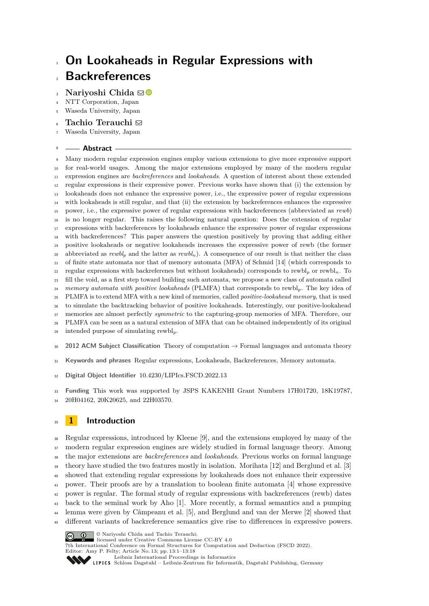# **On Lookaheads in Regular Expressions with Backreferences**

# **Narivoshi Chida** ⊠<sup>®</sup>

- NTT Corporation, Japan
- Waseda University, Japan
- **Tachio Terauchi** [#](mailto:terauchi@waseda.jp)
- Waseda University, Japan

#### **Abstract**

 Many modern regular expression engines employ various extensions to give more expressive support for real-world usages. Among the major extensions employed by many of the modern regular expression engines are *backreferences* and *lookaheads*. A question of interest about these extended regular expressions is their expressive power. Previous works have shown that (i) the extension by lookaheads does not enhance the expressive power, i.e., the expressive power of regular expressions with lookaheads is still regular, and that (ii) the extension by backreferences enhances the expressive power, i.e., the expressive power of regular expressions with backreferences (abbreviated as *rewb*) is no longer regular. This raises the following natural question: Does the extension of regular expressions with backreferences by lookaheads enhance the expressive power of regular expressions with backreferences? This paper answers the question positively by proving that adding either positive lookaheads or negative lookaheads increases the expressive power of rewb (the former abbreviated as *rewbl<sup>p</sup>* and the latter as *rewbln*). A consequence of our result is that neither the class of finite state automata nor that of memory automata (MFA) of Schmid [\[14\]](#page-17-0) (which corresponds to <sup>22</sup> regular expressions with backreferenes but without lookaheads) corresponds to rewbl<sub>p</sub> or rewbl<sub>n</sub>. To fill the void, as a first step toward building such automata, we propose a new class of automata called *memory automata with positive lookaheads* (PLMFA) that corresponds to rewbl*p*. The key idea of PLMFA is to extend MFA with a new kind of memories, called *positive-lookahead memory*, that is used to simulate the backtracking behavior of positive lookaheads. Interestingly, our positive-lookahead memories are almost perfectly *symmetric* to the capturing-group memories of MFA. Therefore, our PLMFA can be seen as a natural extension of MFA that can be obtained independently of its original intended purpose of simulating rewbl*p*. **2012 ACM Subject Classification** Theory of computation → Formal languages and automata theory

- 
- **Keywords and phrases** Regular expressions, Lookaheads, Backreferences, Memory automata.
- **Digital Object Identifier** [10.4230/LIPIcs.FSCD.2022.13](https://doi.org/10.4230/LIPIcs.FSCD.2022.13)

**Funding** This work was supported by JSPS KAKENHI Grant Numbers 17H01720, 18K19787,

20H04162, 20K20625, and 22H03570.

# <span id="page-0-0"></span>**1 Introduction**

 Regular expressions, introduced by Kleene [\[9\]](#page-16-0), and the extensions employed by many of the modern regular expression engines are widely studied in formal language theory. Among the major extensions are *backreferences* and *lookaheads*. Previous works on formal language theory have studied the two features mostly in isolation. Morihata [\[12\]](#page-17-1) and Berglund et al. [\[3\]](#page-16-1) showed that extending regular expressions by lookaheads does not enhance their expressive power. Their proofs are by a translation to boolean finite automata [\[4\]](#page-16-2) whose expressive power is regular. The formal study of regular expressions with backreferences (rewb) dates back to the seminal work by Aho [\[1\]](#page-16-3). More recently, a formal semantics and a pumping lemma were given by Câmpeanu et al. [\[5\]](#page-16-4), and Berglund and van der Merwe [\[2\]](#page-16-5) showed that different variants of backreference semantics give rise to differences in expressive powers.



licensed under Creative Commons License CC-BY 4.0

© Nariyoshi Chida and Tachio Terauchi;

7th International Conference on Formal Structures for Computation and Deduction (FSCD 2022). Editor: Amy P. Felty; Article No. 13; pp. 13:1–13:18

[Schloss Dagstuhl – Leibniz-Zentrum für Informatik, Dagstuhl Publishing, Germany](https://www.dagstuhl.de)

[Leibniz International Proceedings in Informatics](https://www.dagstuhl.de/lipics/)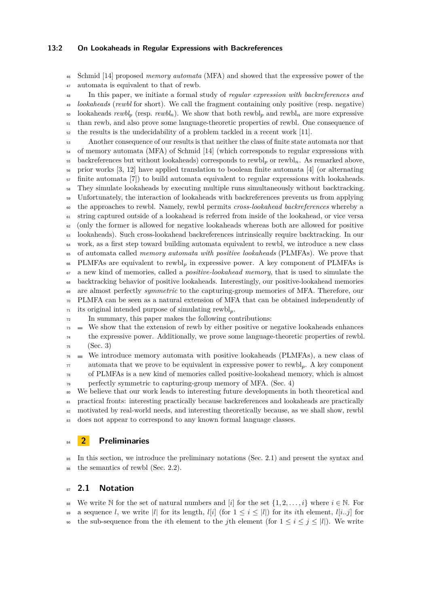#### **13:2 On Lookaheads in Regular Expressions with Backreferences**

 Schmid [\[14\]](#page-17-0) proposed *memory automata* (MFA) and showed that the expressive power of the automata is equivalent to that of rewb.

 In this paper, we initiate a formal study of *regular expression with backreferences and lookaheads* (*rewbl* for short). We call the fragment containing only positive (resp. negative) 50 lookaheads  $rewbl_p$  (resp.  $rewbl_n$ ). We show that both rewbl<sub>p</sub> and rewbl<sub>n</sub> are more expressive than rewb, and also prove some language-theoretic properties of rewbl. One consequence of the results is the undecidability of a problem tackled in a recent work [\[11\]](#page-16-6).

 Another consequence of our results is that neither the class of finite state automata nor that <sup>54</sup> of memory automata (MFA) of Schmid [\[14\]](#page-17-0) (which corresponds to regular expressions with backreferences but without lookaheads) corresponds to rewbl*<sup>p</sup>* or rewbl*n*. As remarked above, prior works [\[3,](#page-16-1) [12\]](#page-17-1) have applied translation to boolean finite automata [\[4\]](#page-16-2) (or alternating finite automata [\[7\]](#page-16-7)) to build automata equivalent to regular expressions with lookaheads. They simulate lookaheads by executing multiple runs simultaneously without backtracking. <sup>59</sup> Unfortunately, the interaction of lookaheads with backreferences prevents us from applying the approaches to rewbl. Namely, rewbl permits *cross-lookahead backreferences* whereby a string captured outside of a lookahead is referred from inside of the lookahead, or vice versa (only the former is allowed for negative lookaheads whereas both are allowed for positive lookaheads). Such cross-lookahead backreferences intrinsically require backtracking. In our work, as a first step toward building automata equivalent to rewbl, we introduce a new class of automata called *memory automata with positive lookaheads* (PLMFAs). We prove that PLMFAs are equivalent to rewbl*<sup>p</sup>* in expressive power. A key component of PLMFAs is a new kind of memories, called a *positive-lookahead memory*, that is used to simulate the backtracking behavior of positive lookaheads. Interestingly, our positive-lookahead memories are almost perfectly *symmetric* to the capturing-group memories of MFA. Therefore, our PLMFA can be seen as a natural extension of MFA that can be obtained independently of its original intended purpose of simulating rewbl*p*.

In summary, this paper makes the following contributions:

 $73 \equiv$  We show that the extension of rewb by either positive or negative lookaheads enhances

 the expressive power. Additionally, we prove some language-theoretic properties of rewbl. (Sec. [3\)](#page-5-0)

 $76 \equiv$  We introduce memory automata with positive lookaheads (PLMFAs), a new class of automata that we prove to be equivalent in expressive power to rewbl*p*. A key component of PLMFAs is a new kind of memories called positive-lookahead memory, which is almost perfectly symmetric to capturing-group memory of MFA. (Sec. [4\)](#page-8-0)

 We believe that our work leads to interesting future developments in both theoretical and practical fronts: interesting practically because backreferences and lookaheads are practically motivated by real-world needs, and interesting theoretically because, as we shall show, rewbl 83 does not appear to correspond to any known formal language classes.

# <span id="page-1-1"></span>**2 Preliminaries**

 In this section, we introduce the preliminary notations (Sec. [2.1\)](#page-1-0) and present the syntax and 86 the semantics of rewbl (Sec. [2.2\)](#page-2-0).

# <span id="page-1-0"></span>**2.1 Notation**

88 We write N for the set of natural numbers and [*i*] for the set  $\{1, 2, \ldots, i\}$  where  $i \in \mathbb{N}$ . For 89 a sequence *l*, we write |*l*| for its length, *l*[*i*] (for  $1 \leq i \leq |l|$ ) for its *i*th element, *l*[*i..j*] for <sup>90</sup> the sub-sequence from the *i*th element to the *j*th element (for  $1 \le i \le j \le |l|$ ). We write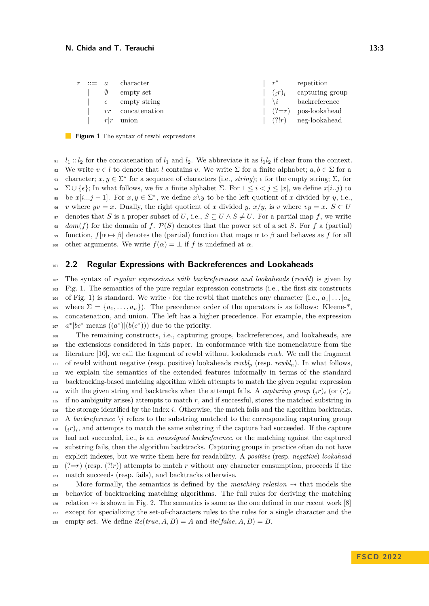<span id="page-2-1"></span>

|  | $r := a$ character      |           | $\left  r^* \right $ repetition     |
|--|-------------------------|-----------|-------------------------------------|
|  | $\emptyset$ empty set   | $(i r)_i$ | capturing group                     |
|  | $\epsilon$ empty string |           | $\vert \ \ \rangle i$ backreference |
|  | $rr$ concatenation      |           | $(?) = r$ pos-lookahead             |
|  | $r r$ union             |           | $(?!r)$ neg-lookahead               |

**Figure 1** The syntax of rewbl expressions

 $l_1$  ::  $l_2$  for the concatenation of  $l_1$  and  $l_2$ . We abbreviate it as  $l_1l_2$  if clear from the context. <sup>92</sup> We write  $v \in l$  to denote that *l* contains *v*. We write  $\Sigma$  for a finite alphabet;  $a, b \in \Sigma$  for a  $\mathcal{L}_{\epsilon}$  character;  $x, y \in \Sigma^*$  for a sequence of characters (i.e., *string*);  $\epsilon$  for the empty string;  $\Sigma_{\epsilon}$  for 94 Σ ∪ { $\epsilon$ }; In what follows, we fix a finite alphabet Σ. For  $1 \leq i \leq j \leq |x|$ , we define  $x[i..j)$  to <sup>95</sup> be  $x[i...j-1]$ . For  $x, y \in \Sigma^*$ , we define  $x \setminus y$  to be the left quotient of *x* divided by *y*, i.e.,  $\mathbf{v} \times \mathbf{v} = \mathbf{v}$  where  $\mathbf{v} \times \mathbf{v} = \mathbf{v}$ . Dually, the right quotient of *x* divided *y*,  $x/y$ , is *v* where  $\mathbf{v} \times \mathbf{v} = \mathbf{x}$ .  $S \subset U$ 97 denotes that *S* is a proper subset of *U*, i.e.,  $S \subseteq U \wedge S \neq U$ . For a partial map *f*, we write <sup>98</sup> *dom*(*f*) for the domain of *f*.  $P(S)$  denotes that the power set of a set *S*. For *f* a (partial) 99 function,  $f[\alpha \mapsto \beta]$  denotes the (partial) function that maps  $\alpha$  to  $\beta$  and behaves as f for all 100 other arguments. We write  $f(\alpha) = \bot$  if f is undefined at  $\alpha$ .

## <span id="page-2-0"></span><sup>101</sup> **2.2 Regular Expressions with Backreferences and Lookaheads**

<sup>102</sup> The syntax of *regular expressions with backreferences and lookaheads* (*rewbl*) is given by <sup>103</sup> Fig. [1.](#page-2-1) The semantics of the pure regular expression constructs (i.e., the first six constructs 104 of Fig. [1\)](#page-2-1) is standard. We write  $\cdot$  for the rewbl that matches any character (i.e.,  $a_1 | \dots | a_n$ 105 where  $\Sigma = \{a_1, \ldots, a_n\}$ . The precedence order of the operators is as follows: Kleene-\*, <sup>106</sup> concatenation, and union. The left has a higher precedence. For example, the expression  $a^*|bc^*$  means  $((a^*)|(b(c^*))$  due to the priority.

 The remaining constructs, i.e., capturing groups, backreferences, and lookaheads, are the extensions considered in this paper. In conformance with the nomenclature from the literature [\[10\]](#page-16-8), we call the fragment of rewbl without lookaheads *rewb*. We call the fragment of rewbl without negative (resp. positive) lookaheads *rewbl<sup>p</sup>* (resp. *rewbln*). In what follows, we explain the semantics of the extended features informally in terms of the standard backtracking-based matching algorithm which attempts to match the given regular expression with the given string and backtracks when the attempt fails. A *capturing group*  $(r_i)$  (or  $(r_i)$ ) 114  $_{115}$  if no ambiguity arises) attempts to match  $r$ , and if successful, stores the matched substring in the storage identified by the index *i*. Otherwise, the match fails and the algorithm backtracks. A *backreference*  $\iota$  refers to the substring matched to the corresponding capturing group  $\mu_{18}$  (*i*<sup>*r*</sup>)<sub>*i*</sub>, and attempts to match the same substring if the capture had succeeded. If the capture had not succeeded, i.e., is an *unassigned backreference*, or the matching against the captured substring fails, then the algorithm backtracks. Capturing groups in practice often do not have explicit indexes, but we write them here for readability. A *positive* (resp. *negative*) *lookahead*  $122 \left($  (?=*r*) (resp. (?!*r*)) attempts to match *r* without any character consumption, proceeds if the match succeeds (resp. fails), and backtracks otherwise.

124 More formally, the semantics is defined by the *matching relation*  $\sim$  that models the <sup>125</sup> behavior of backtracking matching algorithms. The full rules for deriving the matching 126 relation  $\sim$  is shown in Fig. [2.](#page-3-0) The semantics is same as the one defined in our recent work [\[8\]](#page-16-9) <sup>127</sup> except for specializing the set-of-characters rules to the rules for a single character and the 128 empty set. We define  $ite(true, A, B) = A$  and  $ite(false, A, B) = B$ .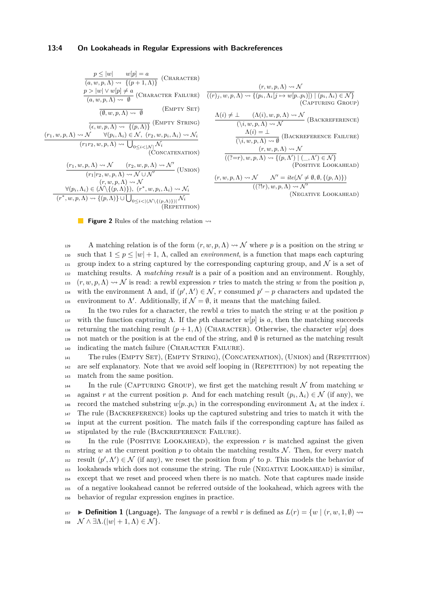#### **13:4 On Lookaheads in Regular Expressions with Backreferences**

<span id="page-3-0"></span>
$$
\frac{p \le |w| \quad w[p] = a}{(a, w, p, \Lambda) \rightsquigarrow \{(p+1, \Lambda)\}} \quad \text{(CHARACTER)}
$$
\n
$$
\frac{p > |w| \vee w[p] \ne a}{(a, w, p, \Lambda) \rightsquigarrow \emptyset} \quad \text{(CHARACTER FAILURE)}
$$
\n
$$
\frac{(\emptyset, w, p, \Lambda) \rightsquigarrow \emptyset}{(\emptyset, w, p, \Lambda) \rightsquigarrow \emptyset} \quad \text{(EMPTY SET)}
$$
\n
$$
\frac{(\varepsilon, w, p, \Lambda) \rightsquigarrow \{(p, \Lambda)\}}{(\varepsilon, w, p, \Lambda) \rightsquigarrow \{(p, \Lambda)\}} \quad \text{(EMPTY STRING)}
$$
\n
$$
\frac{(r_1, w, p, \Lambda) \rightsquigarrow \mathcal{N} \quad \forall (p_i, \Lambda_i) \in \mathcal{N}, (r_2, w, p_i, \Lambda_i) \rightsquigarrow \mathcal{N}_i}{(\text{CONCATENATION})}
$$
\n
$$
\frac{(r_1, w, p, \Lambda) \rightsquigarrow \mathcal{N} \quad (r_2, w, p, \Lambda) \rightsquigarrow \mathcal{N} \cup \mathcal{N}'}{(r_1 | r_2, w, p, \Lambda) \rightsquigarrow \mathcal{N} \cup \mathcal{N}'} \quad \text{(UNION)}
$$
\n
$$
\frac{\forall (p_i, \Lambda_i) \in (\mathcal{N} \{(p, \Lambda)\}) \cdot (r^*, w, p_i, \Lambda_i) \rightsquigarrow \mathcal{N}_i}{(r^*, w, p, \Lambda) \rightsquigarrow \{(p, \Lambda)\} \cup \bigcup_{0 \le i < |(\mathcal{N} \setminus \{(p, \Lambda)\})|} \mathcal{N}_i} \quad \text{(REPETITION)}
$$

$$
\frac{(r, w, p, \Lambda) \rightsquigarrow \mathcal{N}}{((r)_j, w, p, \Lambda) \rightsquigarrow \{ (p_i, \Lambda_i[j \rightarrow w[p..p_i)]) \mid (p_i, \Lambda_i) \in \mathcal{N} \} \quad (\text{CAPTURING GROUP})}
$$
\n
$$
\frac{\Lambda(i) \neq \bot \quad (\Lambda(i), w, p, \Lambda) \rightsquigarrow \mathcal{N}}{(\lambda_i, w, p, \Lambda) \rightsquigarrow \mathcal{N}} \quad (\text{BACKREFERENCE})
$$
\n
$$
\frac{\Lambda(i) = \bot}{(\lambda_i, w, p, \Lambda) \rightsquigarrow \emptyset} \quad (\text{BACKREFERENCE FALLYRE})
$$
\n
$$
\frac{(r, w, p, \Lambda) \rightsquigarrow \mathcal{N}}{((?=r), w, p, \Lambda) \rightsquigarrow \{(p, \Lambda') \mid (\_, \Lambda') \in \mathcal{N} \} \quad (\text{PosITIVE LOOKAHEAD})}
$$
\n
$$
\frac{(r, w, p, \Lambda) \rightsquigarrow \mathcal{N}}{(\mathcal{N} \cup \{r\}, w, p, \Lambda) \rightsquigarrow \mathcal{N}'} \quad (\text{NEGATIVE LOOKAHEAD})
$$

**Figure 2** Rules of the matching relation  $\rightsquigarrow$ 

129 A matching relation is of the form  $(r, w, p, \Lambda) \rightsquigarrow \mathcal{N}$  where p is a position on the string w 130 such that  $1 \leq p \leq |w| + 1$ ,  $\Lambda$ , called an *environment*, is a function that maps each capturing 131 group index to a string captured by the corresponding capturing group, and  $\mathcal N$  is a set of <sup>132</sup> matching results. A *matching result* is a pair of a position and an environment. Roughly,  $\mu_1$ <sup>333</sup>  $(r, w, p, \Lambda) \rightsquigarrow \mathcal{N}$  is read: a rewbl expression *r* tries to match the string *w* from the position *p*, with the environment  $\Lambda$  and, if  $(p', \Lambda') \in \mathcal{N}$ , *r* consumed  $p' - p$  characters and updated the 135 environment to Λ'. Additionally, if  $\mathcal{N} = \emptyset$ , it means that the matching failed.

136 In the two rules for a character, the rewbl  $\alpha$  tries to match the string  $w$  at the position  $p$ 137 with the function capturing Λ. If the *p*th character  $w[p]$  is *a*, then the matching succeeds 138 returning the matching result  $(p+1,\Lambda)$  (CHARACTER). Otherwise, the character  $w[p]$  does 139 not match or the position is at the end of the string, and  $\emptyset$  is returned as the matching result 140 indicating the match failure (CHARACTER FAILURE).

<sup>141</sup> The rules (Empty Set), (Empty String), (Concatenation), (Union) and (Repetition)  $142$  are self explanatory. Note that we avoid self looping in (REPETITION) by not repeating the <sup>143</sup> match from the same position.

144 In the rule (CAPTURING GROUP), we first get the matching result  $\mathcal N$  from matching  $w$ against *r* at the current position *p*. And for each matching result  $(p_i, \Lambda_i) \in \mathcal{N}$  (if any), we <sup>146</sup> record the matched substring  $w[p, p_i)$  in the corresponding environment  $Λ_i$  at the index *i*. <sup>147</sup> The rule (Backreference) looks up the captured substring and tries to match it with the <sup>148</sup> input at the current position. The match fails if the corresponding capture has failed as 149 stipulated by the rule (BACKREFERENCE FAILURE).

 In the rule (POSITIVE LOOKAHEAD), the expression  $r$  is matched against the given 151 string *w* at the current position *p* to obtain the matching results  $N$ . Then, for every match <sup>152</sup> result  $(p', \Lambda') \in \mathcal{N}$  (if any), we reset the position from  $p'$  to *p*. This models the behavior of lookaheads which does not consume the string. The rule (Negative Lookahead) is similar, except that we reset and proceed when there is no match. Note that captures made inside of a negative lookahead cannot be referred outside of the lookahead, which agrees with the behavior of regular expression engines in practice.

157  $\blacktriangleright$  **Definition 1** (Language). The *language* of a rewbl *r* is defined as  $L(r) = \{w \mid (r, w, 1, \emptyset) \leadsto$ 158  $\mathcal{N} \wedge \exists \Lambda . (|w| + 1, \Lambda) \in \mathcal{N}$ .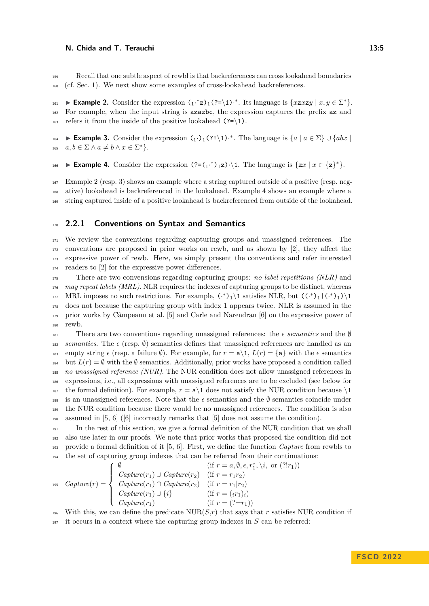<sup>159</sup> Recall that one subtle aspect of rewbl is that backreferences can cross lookahead boundaries <sup>160</sup> (cf. Sec. [1\)](#page-0-0). We next show some examples of cross-lookahead backreferences.

<span id="page-4-0"></span>**Example 2.** Consider the expression  $\left(1, *z\right)1$  (?=\1) $\cdot$ \*. Its language is  $\{xzxy | x, y \in \Sigma^*\}.$ <sup>162</sup> For example, when the input string is azazbc, the expression captures the prefix az and 163 refers it from the inside of the positive lookahead  $(?=\1)$ .

<span id="page-4-1"></span>**Example 3.** Consider the expression  $\left( \cdot \right)$   $\left( ? \right)$  (?! \t. The language is  $\{a \mid a \in \Sigma\}$  ∪  $\{abx \mid a \in \Sigma\}$  $a, b \in \Sigma \wedge a \neq b \wedge x \in \Sigma^*$ .

<span id="page-4-2"></span>**Example 4.** Consider the expression  $(?=(1^*)^1 \mathbf{z}) \cdot \mathbf{1}$ . The language is  $\{zx \mid x \in \{z\}^*\}.$ 

<sup>167</sup> Example [2](#page-4-0) (resp. [3\)](#page-4-1) shows an example where a string captured outside of a positive (resp. neg-<sup>168</sup> ative) lookahead is backreferenced in the lookahead. Example [4](#page-4-2) shows an example where a <sup>169</sup> string captured inside of a positive lookahead is backreferenced from outside of the lookahead.

## <sup>170</sup> **2.2.1 Conventions on Syntax and Semantics**

 We review the conventions regarding capturing groups and unassigned references. The conventions are proposed in prior works on rewb, and as shown by [\[2\]](#page-16-5), they affect the expressive power of rewb. Here, we simply present the conventions and refer interested readers to [\[2\]](#page-16-5) for the expressive power differences.

 There are two convensions regarding capturing groups: *no label repetitions (NLR)* and *may repeat labels (MRL)*. NLR requires the indexes of capturing groups to be distinct, whereas <sup>177</sup> MRL imposes no such restrictions. For example,  $(*)_1\$ <sup>1</sup> satisfies NLR, but  $(((*)_1|(*)_1)\$ <sup>1</sup> does not because the capturing group with index 1 appears twice. NLR is assumed in the prior works by Câmpeanu et al. [\[5\]](#page-16-4) and Carle and Narendran [\[6\]](#page-16-10) on the expressive power of <sup>180</sup> rewb.

<sup>181</sup> There are two conventions regarding unassigned references: the *ϵ semantics* and the ∅ <sup>182</sup> *semantics*. The  $\epsilon$  (resp.  $\emptyset$ ) semantics defines that unassigned references are handled as an <sup>183</sup> empty string *ϵ* (resp. a failure ∅). For example, for *r* = a\1, *L*(*r*) = {a} with the *ϵ* semantics <sup>184</sup> but  $L(r) = \emptyset$  with the  $\emptyset$  semantics. Additionally, prior works have proposed a condition called <sup>185</sup> *no unassigned reference (NUR)*. The NUR condition does not allow unassigned references in <sup>186</sup> expressions, i.e., all expressions with unassigned references are to be excluded (see below for <sup>187</sup> the formal definition). For example,  $r = a \ge 1$  does not satisfy the NUR condition because  $\ge$ 188 is an unassigned references. Note that the  $\epsilon$  semantics and the  $\emptyset$  semantics coincide under <sup>189</sup> the NUR condition because there would be no unassigned references. The condition is also <sup>190</sup> assumed in [\[5,](#page-16-4) [6\]](#page-16-10) ([\[6\]](#page-16-10) incorrectly remarks that [\[5\]](#page-16-4) does not assume the condition).

 In the rest of this section, we give a formal definition of the NUR condition that we shall also use later in our proofs. We note that prior works that proposed the condition did not provide a formal definition of it [\[5,](#page-16-4) [6\]](#page-16-10). First, we define the function *Capture* from rewbls to the set of capturing group indexes that can be referred from their continuations:

$$
Capture(r) = \begin{cases} \emptyset & (\text{if } r = a, \emptyset, \epsilon, r_1^*, \backslash i, \text{ or } (?!r_1)) \\ \text{Capture}(r_1) \cup \text{Capture}(r_2) & (\text{if } r = r_1r_2) \\ \text{Capture}(r_1) \cap \text{Capture}(r_2) & (\text{if } r = r_1 | r_2) \\ \text{Capture}(r_1) \cup \{i\} & (\text{if } r = (r_1)_i) \\ \text{Capture}(r_1) & (\text{if } r = (?=r_1)) \end{cases}
$$

196 With this, we can define the predicate  $NUR(S,r)$  that says that *r* satisfies NUR condition if

<sup>197</sup> it occurs in a context where the capturing group indexes in *S* can be referred: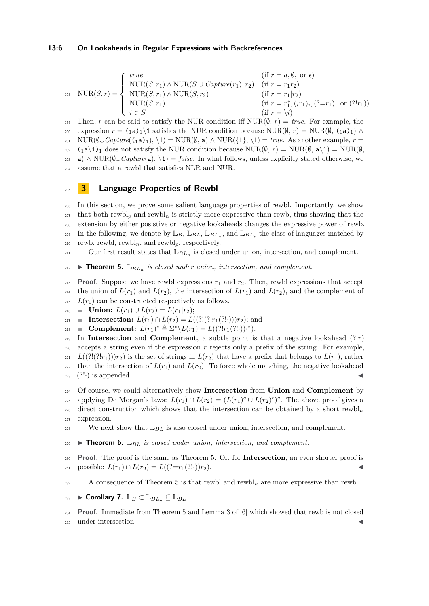#### **13:6 On Lookaheads in Regular Expressions with Backreferences**

$$
\text{NUR}(S,r) = \begin{cases} \text{true} & (\text{if } r = a, \emptyset, \text{ or } \epsilon) \\ \text{NUR}(S, r_1) \land \text{NUR}(S \cup \text{Capture}(r_1), r_2) & (\text{if } r = r_1 r_2) \\ \text{NUR}(S, r_1) \land \text{NUR}(S, r_2) & (\text{if } r = r_1 | r_2) \\ \text{NUR}(S, r_1) & (\text{if } r = r_1^*, (i r_1)_i, (? = r_1), \text{ or } (?!r_1)) \\ i \in S & (\text{if } r = \setminus i) \end{cases}
$$

199 Then, *r* can be said to satisfy the NUR condition iff  $NUR(\emptyset, r) = true$ . For example, the 200 expression  $r = (1a)_1 \setminus 1$  satisfies the NUR condition because NUR( $\emptyset$ ,  $r$ ) = NUR( $\emptyset$ ,  $(1a)_1$ ) ∧ 201 NUR( $\emptyset \cup \text{Capture}({}_1a)_1$ ),  $\{1\} = \text{NUR}(\emptyset, a) \land \text{NUR}({}_1\}, \{1\}) = \text{true}$ . As another example,  $r =$  $_{202}$  (<sub>1</sub>a\1)<sub>1</sub> does not satisfy the NUR condition because NUR( $\emptyset$ , *r*) = NUR( $\emptyset$ , a\1) = NUR( $\emptyset$ , <sup>203</sup> a) ∧ NUR(∅∪*Capture*(a), \1) = *false*. In what follows, unless explicitly stated otherwise, we <sup>204</sup> assume that a rewbl that satisfies NLR and NUR.

# <span id="page-5-0"></span><sup>205</sup> **3 Language Properties of Rewbl**

 In this section, we prove some salient language properties of rewbl. Importantly, we show that both rewbl*<sup>p</sup>* and rewbl*<sup>n</sup>* is strictly more expressive than rewb, thus showing that the extension by either posistive or negative lookaheads changes the expressive power of rewb. In the following, we denote by  $\mathbb{L}_B$ ,  $\mathbb{L}_{BL}$ ,  $\mathbb{L}_{BL_n}$ , and  $\mathbb{L}_{BL_p}$  the class of languages matched by rewb, rewbl, rewbl<sub>n</sub>, and rewbl<sub>p</sub>, respectively.

 $211$  Our first result states that  $\mathbb{L}_{BL_n}$  is closed under union, intersection, and complement.

<span id="page-5-1"></span> $\sum_{212}$  **Fheorem 5.**  $\mathbb{L}_{BL_n}$  *is closed under union, intersection, and complement.* 

**Proof.** Suppose we have rewbl expressions  $r_1$  and  $r_2$ . Then, rewbl expressions that accept <sup>214</sup> the union of  $L(r_1)$  and  $L(r_2)$ , the intersection of  $L(r_1)$  and  $L(r_2)$ , and the complement of  $L(r_1)$  can be constructed respectively as follows.

216 **Union:**  $L(r_1) \cup L(r_2) = L(r_1|r_2);$ 

217 **Intersection:**  $L(r_1) \cap L(r_2) = L((?!(?!r_1(?!·)))r_2);$  and

 $\blacksquare$  **Complement:**  $L(r_1)^c \triangleq \Sigma^* \setminus L(r_1) = L((?!r_1(?!))^.*).$ 

219 In **Intersection** and **Complement**, a subtle point is that a negative lookahead  $(?!r)$ accepts a string even if the expression  $r$  rejects only a prefix of the string. For example,  $L((?!(?!r_1)))r_2)$  is the set of strings in  $L(r_2)$  that have a prefix that belongs to  $L(r_1)$ , rather 222 than the intersection of  $L(r_1)$  and  $L(r_2)$ . To force whole matching, the negative lookahead  $_{223}$  (?!) is appended.

<sup>224</sup> Of course, we could alternatively show **Intersection** from **Union** and **Complement** by applying De Morgan's laws:  $L(r_1) \cap L(r_2) = (L(r_1)^c \cup L(r_2)^c)^c$ . The above proof gives a 226 direct construction which shows that the intersection can be obtained by a short rewbl<sub>n</sub> <sup>227</sup> expression.

<span id="page-5-2"></span><sup>228</sup> We next show that  $\mathbb{L}_{BL}$  is also closed under union, intersection, and complement.

<sup>229</sup> ▶ **Theorem 6.** L*BL is closed under union, intersection, and complement.*

<sup>230</sup> **Proof.** The proof is the same as Theorem [5.](#page-5-1) Or, for **Intersection**, an even shorter proof is  $231$  possible:  $L(r_1) \cap L(r_2) = L((?=r_1(?!) )r_2).$ 

<span id="page-5-3"></span>232 A consequence of Theorem [5](#page-5-1) is that rewbl and rewbl<sub>n</sub> are more expressive than rewb.

233 **Corollary 7.** 
$$
\mathbb{L}_B \subset \mathbb{L}_{BL_n} \subseteq \mathbb{L}_{BL}
$$
.

<sup>234</sup> **Proof.** Immediate from Theorem [5](#page-5-1) and Lemma 3 of [\[6\]](#page-16-10) which showed that rewb is not closed 235 under intersection.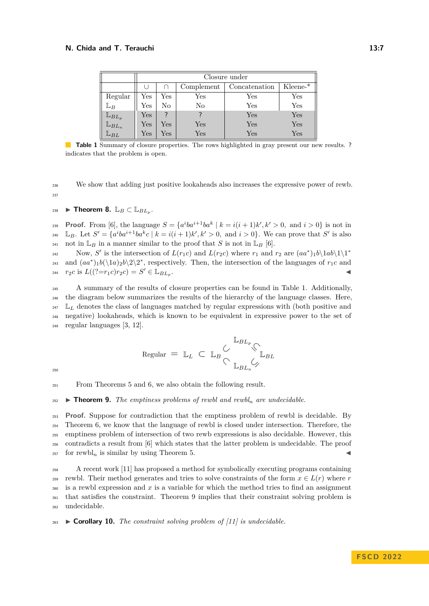<span id="page-6-0"></span>

|                                         | Closure under |                      |                      |                      |                      |
|-----------------------------------------|---------------|----------------------|----------------------|----------------------|----------------------|
|                                         |               |                      | Complement           | Concatenation        | $Kleene-*$           |
| Regular                                 | Yes           | Yes                  | Yes                  | Yes                  | $\operatorname{Yes}$ |
| $\mathbb{L}_B$                          | Yes           | No                   | No                   | $\operatorname{Yes}$ | Yes                  |
|                                         | Yes           |                      |                      | Yes                  | Yes                  |
| $\mathbb{L}_{BL_p}$ $\mathbb{L}_{BL_n}$ | Yes           | $\operatorname{Yes}$ | Yes                  | Yes                  | Yes                  |
| $\mathbb{L}_{BL}$                       | Yes           | Yes                  | $\operatorname{Yes}$ | $\operatorname{Yes}$ | $\operatorname{Yes}$ |

**Table 1** Summary of closure properties. The rows highlighted in gray present our new results. ? indicates that the problem is open.

<sup>236</sup> We show that adding just positive lookaheads also increases the expressive power of rewb. 237

<span id="page-6-2"></span>238 **▶ Theorem 8.**  $\mathbb{L}_B \subset \mathbb{L}_{BL_p}$ .

**Proof.** From [\[6\]](#page-16-10), the language  $S = \{a^i b a^{i+1} b a^k \mid k = i(i+1)k', k' > 0, \text{ and } i > 0\}$  is not in <sup>240</sup> L<sub>B</sub>. Let  $S' = \{a^iba^{i+1}ba^kc \mid k = i(i+1)k', k' > 0, \text{ and } i > 0\}$ . We can prove that S' is also <sup>241</sup> not in  $\mathbb{L}_B$  in a manner similar to the proof that *S* is not in  $\mathbb{L}_B$  [\[6\]](#page-16-10).

Now, S' is the intersection of  $L(r_1c)$  and  $L(r_2c)$  where  $r_1$  and  $r_2$  are  $(aa^*)_1b\backslash 1ab\backslash 1\backslash 1^*$  $242$ and  $(aa^*)_1b(\langle 1a \rangle_2b\langle 2\rangle^2)$ , respectively. Then, the intersection of the languages of  $r_1c$  and  $r_2c$  is  $L((?=r_1c)r_2c) = S' \in \mathbb{L}_{BL_p}$ .

 A summary of the results of closure properties can be found in Table [1.](#page-6-0) Additionally, the diagram below summarizes the results of the hierarchy of the language classes. Here,  $_{247}$   $\mathbb{L}_L$  denotes the class of languages matched by regular expressions with (both positive and negative) lookaheads, which is known to be equivalent in expressive power to the set of regular languages [\[3,](#page-16-1) [12\]](#page-17-1).

$$
\text{Regular} = \mathbb{L}_L \subset \mathbb{L}_B \underset{\bigcirc}{\subset} \mathbb{L}_{BL_n} \underset{\bigcirc}{\downarrow}_{BL_n}
$$

250

<span id="page-6-1"></span><sup>251</sup> From Theorems [5](#page-5-1) and [6,](#page-5-2) we also obtain the following result.

 $\rightarrow$  **Theorem 9.** *The emptiness problems of rewbl and rewbl<sub>n</sub> are undecidable.* 

 **Proof.** Suppose for contradiction that the emptiness problem of rewbl is decidable. By Theorem [6,](#page-5-2) we know that the language of rewbl is closed under intersection. Therefore, the emptiness problem of intersection of two rewb expressions is also decidable. However, this contradicts a result from [\[6\]](#page-16-10) which states that the latter problem is undecidable. The proof  $_{257}$  for rewbl<sub>n</sub> is similar by using Theorem [5.](#page-5-1)

<sup>258</sup> A recent work [\[11\]](#page-16-6) has proposed a method for symbolically executing programs containing <sup>259</sup> rewbl. Their method generates and tries to solve constraints of the form  $x \in L(r)$  where *r*  $_{260}$  is a rewbl expression and x is a variable for which the method tries to find an assignment <sup>261</sup> that satisfies the constraint. Theorem [9](#page-6-1) implies that their constraint solving problem is <sup>262</sup> undecidable.

<sup>263</sup> ▶ **Corollary 10.** *The constraint solving problem of [\[11\]](#page-16-6) is undecidable.*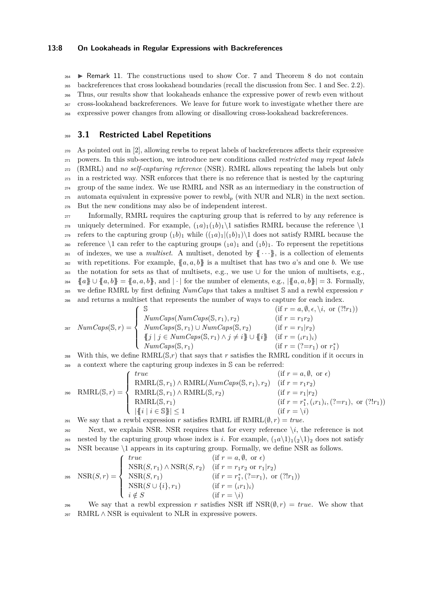#### **13:8 On Lookaheads in Regular Expressions with Backreferences**

 $_{264}$   $\triangleright$  Remark 11. The constructions used to show Cor. [7](#page-5-3) and Theorem [8](#page-6-2) do not contain backreferences that cross lookahead boundaries (recall the discussion from Sec. [1](#page-0-0) and Sec. [2.2\)](#page-2-0). Thus, our results show that lookaheads enhance the expressive power of rewb even without cross-lookahead backreferences. We leave for future work to investigate whether there are expressive power changes from allowing or disallowing cross-lookahead backreferences.

## <sup>269</sup> **3.1 Restricted Label Repetitions**

 As pointed out in [\[2\]](#page-16-5), allowing rewbs to repeat labels of backreferences affects their expressive powers. In this sub-section, we introduce new conditions called *restricted may repeat labels* (RMRL) and *no self-capturing reference* (NSR). RMRL allows repeating the labels but only in a restricted way. NSR enforces that there is no reference that is nested by the capturing group of the same index. We use RMRL and NSR as an intermediary in the construction of automata equivalent in expressive power to rewbl*<sup>p</sup>* (with NUR and NLR) in the next section. But the new conditions may also be of independent interest.

277 Informally, RMRL requires the capturing group that is referred to by any reference is <sup>278</sup> uniquely determined. For example,  $\binom{1}{1}$ <sub>1</sub>( $\frac{1}{1}$ )<sub>1</sub>)<sup>1</sup> satisfies RMRL because the reference \1 <sup>279</sup> refers to the capturing group  $(1b)_1$  while  $((1a)_1|(1b)_1)\$ <sup>1</sup> does not satisfy RMRL because the <sup>280</sup> reference  $\setminus$ 1 can refer to the capturing groups  $\binom{1a}{1}$  and  $\binom{1b}{1}$ . To represent the repetitions <sup>281</sup> of indexes, we use a *multiset*. A multiset, denoted by  $\{\cdots\}$ , is a collection of elements <sup>282</sup> with repetitions. For example,  $\{a, a, b\}$  is a multiset that has two *a*'s and one *b*. We use 283 the notation for sets as that of multisets, e.g., we use  $\cup$  for the union of multisets, e.g., 284  $\{a\}\cup\{a,b\}=\{a,a,b\}$ , and | · | for the number of elements, e.g.,  $\{\{a,a,b\}\}=3$ . Formally, <sup>285</sup> we define RMRL by first defining *NumCaps* that takes a multiset S and a rewbl expression *r* <sup>286</sup> and returns a multiset that represents the number of ways to capture for each index.

$$
NumCaps(S,r) = \begin{cases} \mathbb{S} & (\text{if } r = a, \emptyset, \epsilon, \setminus i, \text{ or } (?!r_1)) \\ NumCaps(S,r_1) \cup NumCaps(S,r_1), r_2) & (\text{if } r = r_1r_2) \\ NumCaps(S,r_1) \cup NumCaps(S,r_2) & (\text{if } r = r_1|r_2) \\ \{j \mid j \in NumCaps(S,r_1) \land j \neq i\} \cup \{i\} & (\text{if } r = (r_1)_i) \\ NumCaps(S,r_1) & (\text{if } r = (?=r_1) \text{ or } r_1^*) \end{cases}
$$

<sup>288</sup> With this, we define  $\text{RMRL}(\mathbb{S},r)$  that says that *r* satisfies the RMRL condition if it occurs in <sup>289</sup> a context where the capturing group indexes in S can be referred:

$$
P_{290} \quad \text{RMRL}(\mathbb{S}, r) = \begin{cases} \text{true} & (\text{if } r = a, \emptyset, \text{ or } \epsilon) \\ \text{RMRL}(\mathbb{S}, r_1) \land \text{RMRL}(NumCaps(\mathbb{S}, r_1), r_2) & (\text{if } r = r_1 r_2) \\ \text{RMRL}(\mathbb{S}, r_1) \land \text{RMRL}(\mathbb{S}, r_2) & (\text{if } r = r_1 | r_2) \\ \text{RMRL}(\mathbb{S}, r_1) & (\text{if } r = r_1 | r_2) \\ \text{RMRL}(\mathbb{S}, r_1) & (\text{if } r = r_1^*, (r_1)_i, (? = r_1), \text{ or } (?!r_1) \\ \text{with } r = r_1^*, (r_1)_i, (? = r_1), \text{ or } (?!r_1) \end{cases}
$$

291 We say that a rewbl expression *r* satisfies RMRL iff  $RMRL(\emptyset, r) = true$ .

292 Next, we explain NSR. NSR requires that for every reference  $\iota$ *i*, the reference is not 293 nested by the capturing group whose index is *i*. For example,  $(1a\1)1(2\1)2$  does not satisfy <sup>294</sup> NSR because \1 appears in its capturing group. Formally, we define NSR as follows.

$$
\text{NSR}(S,r) = \begin{cases} \text{true} & (\text{if } r = a, \emptyset, \text{ or } \epsilon) \\ \text{NSR}(S, r_1) \land \text{NSR}(S, r_2) & (\text{if } r = r_1 r_2 \text{ or } r_1 | r_2) \\ \text{NSR}(S, r_1) & (\text{if } r = r_1^*, (?=r_1), \text{ or } (?!r_1)) \\ \text{NSR}(S \cup \{i\}, r_1) & (\text{if } r = (i r_1)_i) \\ i \notin S & (\text{if } r = \setminus i) \end{cases}
$$

296 We say that a rewbl expression r satisfies NSR iff  $NSR(\emptyset, r) = true$ . We show that 297 RMRL  $\wedge$  NSR is equivalent to NLR in expressive powers.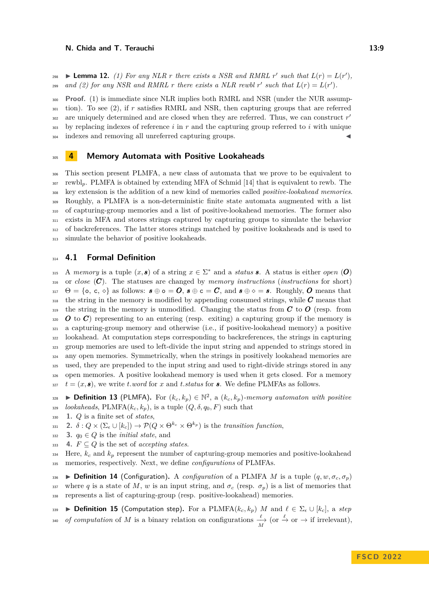**298**  $\blacktriangleright$  **Lemma 12.** (1) For any NLR r there exists a NSR and RMRL r' such that  $L(r) = L(r')$ , *and (2) for any NSR and RMRL r there exists a NLR rewbl*  $r'$  *such that*  $L(r) = L(r')$ .

<sup>300</sup> **Proof.** (1) is immediate since NLR implies both RMRL and NSR (under the NUR assump-<sup>301</sup> tion). To see (2), if *r* satisfies RMRL and NSR, then capturing groups that are referred are uniquely determined and are closed when they are referred. Thus, we can construct *r* ′ 302 <sup>303</sup> by replacing indexes of reference *i* in *r* and the capturing group referred to *i* with unique 304 indexes and removing all unreferred capturing groups.

#### <span id="page-8-0"></span><sup>305</sup> **4 Memory Automata with Positive Lookaheads**

 This section present PLMFA, a new class of automata that we prove to be equivalent to rewbl*p*. PLMFA is obtained by extending MFA of Schmid [\[14\]](#page-17-0) that is equivalent to rewb. The key extension is the addition of a new kind of memories called *positive-lookahead memories*. Roughly, a PLMFA is a non-deterministic finite state automata augmented with a list of capturing-group memories and a list of positive-lookahead memories. The former also exists in MFA and stores strings captured by capturing groups to simulate the behavior of backreferences. The latter stores strings matched by positive lookaheads and is used to simulate the behavior of positive lookaheads.

## <sup>314</sup> **4.1 Formal Definition**

315 A *memory* is a tuple  $(x, s)$  of a string  $x \in \Sigma^*$  and a *status* **s**. A status is either *open* (*O*) or *close* (*C*). The statuses are changed by *memory instructions* (*instructions* for short)  $\Theta = \{\circ, \circ, \circ\}$  as follows:  $\mathbf{s} \oplus \circ \mathbf{s} = \mathbf{0}$ ,  $\mathbf{s} \oplus \circ \mathbf{s} = \mathbf{C}$ , and  $\mathbf{s} \oplus \circ \mathbf{s} = \mathbf{s}$ . Roughly, **O** means that the string in the memory is modified by appending consumed strings, while *C* means that the string in the memory is unmodified. Changing the status from *C* to *O* (resp. from  $\overline{\mathcal{O}}$  to  $\overline{\mathcal{O}}$ ) representing to an entering (resp. exiting) a capturing group if the memory is a capturing-group memory and otherwise (i.e., if positive-lookahead memory) a positive lookahead. At computation steps corresponding to backreferences, the strings in capturing group memories are used to left-divide the input string and appended to strings stored in any open memories. Symmetrically, when the strings in positively lookahead memories are used, they are prepended to the input string and used to right-divide strings stored in any open memories. A positive lookahead memory is used when it gets closed. For a memory  $t = (x, \mathbf{s})$ , we write *t.word* for *x* and *t.status* for **s**. We define PLMFAs as follows.

**■ ▶ Definition 13** (PLMFA). For  $(k_c, k_p) \in \mathbb{N}^2$ , a  $(k_c, k_p)$ -memory automaton with positive  $\alpha$ <sub>329</sub> *lookaheads*, PLMFA( $k_c, k_p$ ), is a tuple ( $Q, \delta, q_0, F$ ) such that

<sup>330</sup> **1.** *Q* is a finite set of *states*,

**2.**  $\delta: Q \times (\Sigma_{\epsilon} \cup [k_{c}]) \rightarrow \mathcal{P}(Q \times \Theta^{k_{c}} \times \Theta^{k_{p}})$  is the *transition function*,

- 332 **3.**  $q_0 \in Q$  is the *initial state*, and
- 333 **4.**  $F \subseteq Q$  is the set of *accepting states*.

 $\frac{334}{4}$  Here,  $k_c$  and  $k_p$  represent the number of capturing-group memories and positive-lookahead <sup>335</sup> memories, respectively. Next, we define *configurations* of PLMFAs.

**336 ▶ Definition 14** (Configuration). A *configuration* of a PLMFA *M* is a tuple  $(q, w, \sigma_c, \sigma_p)$ 337 where *q* is a state of *M*, *w* is an input string, and  $\sigma_c$  (resp.  $\sigma_p$ ) is a list of memories that <sup>338</sup> represents a list of capturing-group (resp. positive-lookahead) memories.

<span id="page-8-1"></span><sup>339</sup> ▶ **Definition 15** (Computation step)**.** For a PLMFA(*kc, kp*) *M* and *ℓ* ∈ Σ*<sup>ϵ</sup>* ∪ [*kc*], a *step*  $\sigma$  *of computation* of *M* is a binary relation on configurations  $\frac{\ell}{M}$  (or  $\stackrel{\ell}{\to}$  or  $\to$  if irrelevant),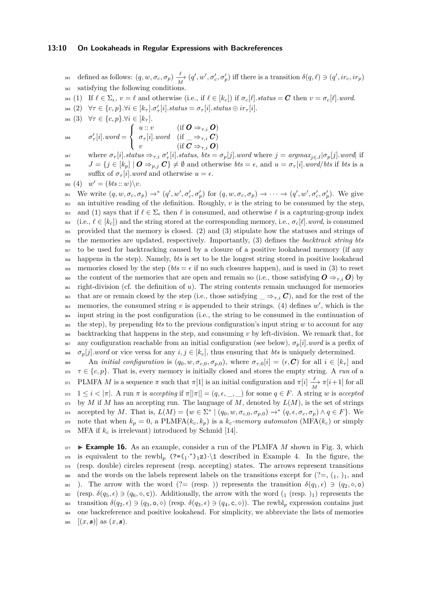#### **13:10 On Lookaheads in Regular Expressions with Backreferences**

defined as follows:  $(q, w, \sigma_c, \sigma_p) \xrightarrow[M]{\ell} (q', w', \sigma'_c, \sigma'_p)$  iff there is a transition  $\delta(q, \ell) \ni (q', ir_c, ir_p)$ satisfying the following conditions.

343 (1) If  $\ell \in \Sigma_{\epsilon}$ ,  $v = \ell$  and otherwise (i.e., if  $\ell \in [k_c]$ ) if  $\sigma_c[\ell]$ . status = **C** then  $v = \sigma_c[\ell]$ . word.

- $\forall i \in \{c, p\}.\forall i \in [k_\tau]. \sigma_\tau'[i].status = \sigma_\tau[i].status \oplus ir_\tau[i].$
- 345 (3)  $\forall \tau \in \{c, p\}.\forall i \in [k_\tau].$

$$
\text{and} \quad \sigma_{\tau}'[i].word = \left\{ \begin{array}{ll} u::v & (\text{if } \textbf{\textit{O}} \Rightarrow_{\tau,i} \textbf{\textit{O}}) \\ \sigma_{\tau}[i].word & (\text{if } \textbf{\textit{O}} \Rightarrow_{\tau,i} \textbf{\textit{C}}) \\ v & (\text{if } \textbf{\textit{C}} \Rightarrow_{\tau,i} \textbf{\textit{O}}) \end{array} \right.
$$

where  $\sigma_{\tau}[i]$  status  $\Rightarrow_{\tau,i} \sigma_{\tau}'[i]$  status,  $bts = \sigma_p[j]$  word where  $j = argmax_{j \in J} |\sigma_p[j]$  word if 348  $J = \{j \in [k_p] \mid \mathbf{O} \Rightarrow_{p,j} \mathbf{C}\}\neq \emptyset$  and otherwise  $bts = \epsilon$ , and  $u = \sigma_{\tau}[i]$ *.word/bts* if *bts* is a  $_{349}$  suffix of  $\sigma_{\tau}[i]$ *.word* and otherwise  $u = \epsilon$ .

 $^{350}$  (4)  $w' = (bts::w)\3$ .

<sup>351</sup> We write  $(q, w, \sigma_c, \sigma_p) \rightarrow^* (q', w', \sigma'_c, \sigma'_p)$  for  $(q, w, \sigma_c, \sigma_p) \rightarrow \cdots \rightarrow (q', w', \sigma'_c, \sigma'_p)$ . We give <sup>352</sup> an intuitive reading of the definition. Roughly, *v* is the string to be consumed by the step, 353 and (1) says that if  $\ell \in \Sigma_{\epsilon}$  then  $\ell$  is consumed, and otherwise  $\ell$  is a capturing-group index 354 (i.e.,  $\ell \in [k_c]$ ) and the string stored at the corresponding memory, i.e.,  $\sigma_c[\ell].word$ , is consumed <sup>355</sup> provided that the memory is closed. (2) and (3) stipulate how the statuses and strings of <sup>356</sup> the memories are updated, respectively. Importantly, (3) defines the *backtrack string bts* <sup>357</sup> to be used for backtracking caused by a closure of a positive lookahead memory (if any <sup>358</sup> happens in the step). Namely, *bts* is set to be the longest string stored in positive lookahead 359 memories closed by the step ( $bts = \epsilon$  if no such closures happen), and is used in (3) to reset 360 the content of the memories that are open and remain so (i.e., those satisfying  $O \Rightarrow_{\tau,i} O$ ) by <sup>361</sup> right-division (cf. the definition of *u*). The string contents remain unchanged for memories <sup>362</sup> that are or remain closed by the step (i.e., those satisfying  $\Rightarrow$ *τ,i C*), and for the rest of the  $_{363}$  memories, the consumed string  $v$  is appended to their strings. (4) defines  $w'$ , which is the <sup>364</sup> input string in the post configuration (i.e., the string to be consumed in the continuation of <sup>365</sup> the step), by prepending *bts* to the previous configuration's input string *w* to account for any <sup>366</sup> backtracking that happens in the step, and consuming *v* by left-division. We remark that, for <sup>367</sup> any configuration reachable from an initial configuration (see below),  $\sigma_p[i]$ *.word* is a prefix of 368  $\sigma_p[j]$ *.word* or vice versa for any  $i, j \in [k_c]$ , thus ensuring that *bts* is uniquely determined. 369 An *initial configuration* is  $(q_0, w, \sigma_{c,0}, \sigma_{p,0})$ , where  $\sigma_{\tau,0}[i] = (\epsilon, \mathcal{C})$  for all  $i \in [k_\tau]$  and

 $\tau \in \{c, p\}$ . That is, every memory is initially closed and stores the empty string. A *run* of a <sup>371</sup> PLMFA *M* is a sequence  $\pi$  such that  $\pi[1]$  is an initial configuration and  $\pi[i] \xrightarrow[M]{} \pi[i+1]$  for all  $372 \quad 1 \leq i < |\pi|$ . A run  $\pi$  is accepting if  $\pi[|\pi|] = (q, \epsilon, \underline{\hspace{1cm}}, \underline{\hspace{1cm}})$  for some  $q \in F$ . A string *w* is accepted  $373$  by *M* if *M* has an accepting run. The language of *M*, denoted by  $L(M)$ , is the set of strings accepted by *M*. That is,  $L(M) = \{w \in \Sigma^* \mid (q_0, w, \sigma_{c,0}, \sigma_{p,0}) \to^* (q, \epsilon, \sigma_c, \sigma_p) \land q \in F\}$ . We 375 note that when  $k_p = 0$ , a PLMFA( $k_c, k_p$ ) is a  $k_c$ -memory automaton (MFA( $k_c$ ) or simply  $376$  MFA if  $k_c$  is irrelevant) introduced by Schmid [\[14\]](#page-17-0).

 $377$  **Example 16.** As an example, consider a run of the PLMFA *M* shown in Fig. [3,](#page-10-0) which <sup>378</sup> is equivalent to the rewbl<sub>p</sub>  $($ ?= $($ <sub>1</sub><sup>\*</sup> $)$ <sub>1</sub>**z** $)$ · $\setminus$ 1 described in Example [4.](#page-4-2) In the figure, the <sup>379</sup> (resp. double) circles represent (resp. accepting) states. The arrows represent transitions 380 and the words on the labels represent labels on the transitions except for  $(2, 1, 1)$ , and 381 ). The arrow with the word (?= (resp. )) represents the transition  $\delta(q_1, \epsilon) \ni (q_2, \diamond, \mathsf{o})$ 382 (resp.  $\delta(q_5, \epsilon) \ni (q_6, \diamond, \mathbf{c})$ ). Additionally, the arrow with the word  $(1 \text{ (resp. } )_1)$  represents the  $\delta(q_2, \epsilon) \ni (q_3, \infty, \diamond)$  (resp.  $\delta(q_3, \epsilon) \ni (q_4, \epsilon, \diamond)$ ). The rewbl<sub>p</sub> expression contains just <sup>384</sup> one backreference and positive lookahead. For simplicity, we abbreviate the lists of memories  $_{385}$   $[(x, s)]$  as  $(x, s)$ .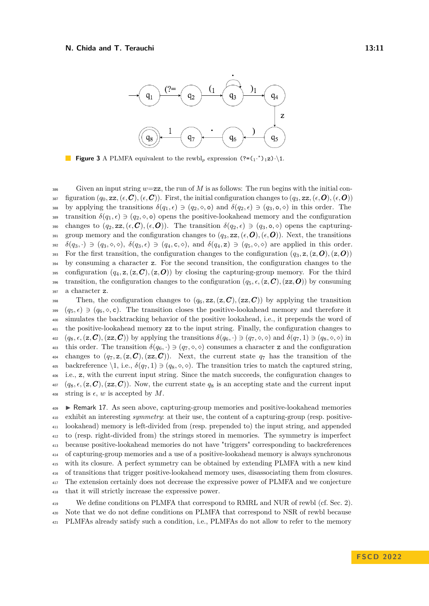<span id="page-10-0"></span>

**Figure 3** A PLMFA equivalent to the rewbl<sub>p</sub> expression  $(?=(1^*)^1Z)\cdot(1$ .

 $S<sub>386</sub>$  Given an input string  $w=\mathsf{zz}$ , the run of M is as follows: The run begins with the initial con-387 figuration  $(q_0, zz, (\epsilon, C), (\epsilon, C)$ . First, the initial configuration changes to  $(q_3, zz, (\epsilon, O), (\epsilon, O)$ 388 by applying the transitions  $\delta(q_1, \epsilon) \ni (q_2, \diamond, \mathbf{o})$  and  $\delta(q_2, \epsilon) \ni (q_3, \mathbf{o}, \diamond)$  in this order. The 389 transition  $\delta(q_1, \epsilon) \ni (q_2, \diamond, \mathbf{o})$  opens the positive-lookahead memory and the configuration 390 changes to  $(q_2, \mathbf{z}_2, (\epsilon, \mathbf{C}), (\epsilon, \mathbf{O}))$ . The transition  $\delta(q_2, \epsilon) \ni (q_3, \mathbf{o}, \diamond)$  opens the capturing-391 group memory and the configuration changes to  $(q_3, \text{zz}, (\epsilon, \textbf{O}), (\epsilon, \textbf{O}))$ . Next, the transitions 392  $\delta(q_3, \cdot) \ni (q_3, \diamond, \diamond), \ \delta(q_3, \epsilon) \ni (q_4, \mathbf{c}, \diamond),$  and  $\delta(q_4, \mathbf{z}) \ni (q_5, \diamond, \diamond)$  are applied in this order. 393 For the first transition, the configuration changes to the configuration  $(q_3, z, (z, \mathbf{O}), (z, \mathbf{O}))$ <sup>394</sup> by consuming a character z. For the second transition, the configuration changes to the 395 configuration  $(q_4, z, (z, C), (z, O))$  by closing the capturing-group memory. For the third 396 transition, the configuration changes to the configuration  $(q_5, \epsilon, (z, C), (zz, O))$  by consuming <sup>397</sup> a character z.

398 Then, the configuration changes to  $(q_6, zz, (z, C), (zz, C))$  by applying the transition  $(q_5, \epsilon) \ni (q_6, \diamond, \mathsf{c})$ . The transition closes the positive-lookahead memory and therefore it <sup>400</sup> simulates the backtracking behavior of the positive lookahead, i.e., it prepends the word of <sup>401</sup> the positive-lookahead memory zz to the input string. Finally, the configuration changes to  $\delta(q_6, \cdot) \ni (q_8, \epsilon, (\mathbf{z}, \mathbf{C}), (\mathbf{z}\mathbf{z}, \mathbf{C}))$  by applying the transitions  $\delta(q_6, \cdot) \ni (q_7, \diamond, \diamond)$  and  $\delta(q_7, 1) \ni (q_8, \diamond, \diamond)$  in 403 this order. The transition  $\delta(q_6, \cdot) \ni (q_7, \diamond, \diamond)$  consumes a character z and the configuration 404 changes to  $(q_7, z, (z, \mathcal{C}), (zz, \mathcal{C}))$ . Next, the current state  $q_7$  has the transition of the 405 backreference  $\1$ , i.e.,  $\delta(q_7, 1) \ni (q_8, \diamond, \diamond)$ . The transition tries to match the captured string, <sup>406</sup> i.e., z, with the current input string. Since the match succeeds, the configuration changes to  $\mathcal{A}_{407}$   $(q_8, \epsilon, (\mathbf{z}, \mathbf{C}), (\mathbf{z}\mathbf{z}, \mathbf{C}))$ . Now, the current state  $q_8$  is an accepting state and the current input 408 string is  $\epsilon$ , *w* is accepted by *M*.

<span id="page-10-1"></span> $_{499}$  Remark 17. As seen above, capturing-group memories and positive-lookahead memories exhibit an interesting *symmetry*: at their use, the content of a capturing-group (resp. positive- lookahead) memory is left-divided from (resp. prepended to) the input string, and appended to (resp. right-divided from) the strings stored in memories. The symmetry is imperfect because positive-lookahead memories do not have "triggers" corresponding to backreferences of capturing-group memories and a use of a positive-lookahead memory is always synchronous with its closure. A perfect symmetry can be obtained by extending PLMFA with a new kind of transitions that trigger positive-lookahead memory uses, disassociating them from closures. The extension certainly does not decrease the expressive power of PLMFA and we conjecture that it will strictly increase the expressive power.

<sup>419</sup> We define conditions on PLMFA that correspond to RMRL and NUR of rewbl (cf. Sec. [2\)](#page-1-1). <sup>420</sup> Note that we do not define conditions on PLMFA that correspond to NSR of rewbl because <sup>421</sup> PLMFAs already satisfy such a condition, i.e., PLMFAs do not allow to refer to the memory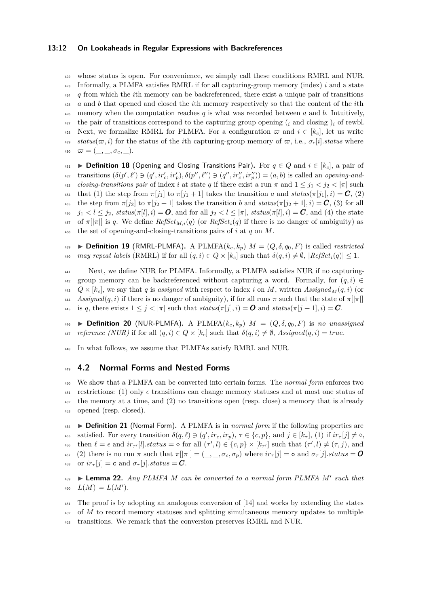#### **13:12 On Lookaheads in Regular Expressions with Backreferences**

 whose status is open. For convenience, we simply call these conditions RMRL and NUR. Informally, a PLMFA satisfies RMRL if for all capturing-group memory (index) *i* and a state *q* from which the *i*th memory can be backreferenced, there exist a unique pair of transitions *a* and *b* that opened and closed the *i*th memory respectively so that the content of the *i*th  $\frac{426}{426}$  memory when the computation reaches *q* is what was recorded between *a* and *b*. Intuitively, the pair of transitions correspond to the capturing group opening  $(i \text{ and closing})_i$  of rewbl. 428 Next, we formalize RMRL for PLMFA. For a configuration  $\varpi$  and  $i \in [k_c]$ , let us write  $\epsilon_{429}$  *status*( $\varpi, i$ ) for the status of the *i*th capturing-group memory of  $\varpi$ , i.e.,  $\sigma_c[i]$ *.status* where  $\varpi = (\_,\_,\sigma_c,\_).$ ▶ **Definition 18** (Opening and Closing Transitions Pair)**.** For *q* ∈ *Q* and *i* ∈ [*kc*], a pair of

<sup>432</sup> transitions  $(\delta(p', \ell') \ni (q', ir'_c, ir'_p), \delta(p'', \ell'') \ni (q'', ir''_c, ir''_p)) = (a, b)$  is called an *opening-and-*433 *closing-transitions pair* of index *i* at state *q* if there exist a run  $\pi$  and  $1 \leq j_1 < j_2 < |\pi|$  such  $\mathbf{f}_{434}$  that (1) the step from  $\pi[j_1]$  to  $\pi[j_1+1]$  takes the transition *a* and  $status(\pi[j_1], i) = \mathbf{C}$ , (2)  $\epsilon_{435}$  the step from  $\pi[j_2]$  to  $\pi[j_2+1]$  takes the transition *b* and  $status(\pi[j_2+1], i) = C$ , (3) for all  $j_1 < l \leq j_2$ ,  $status(\pi[l], i) = \mathbf{O}$ , and for all  $j_2 < l \leq |\pi|$ ,  $status(\pi[l], i) = \mathbf{C}$ , and (4) the state  $\pi$ <sup>337</sup> of  $\pi$ [ $|\pi|$ ] is *q*. We define  $RefSet_{M,i}(q)$  (or  $RefSet_i(q)$  if there is no danger of ambiguity) as <sup>438</sup> the set of opening-and-closing-transitions pairs of *i* at *q* on *M*.

<sup>439</sup> ▶ **Definition 19** (RMRL-PLMFA)**.** A PLMFA(*kc, kp*) *M* = (*Q, δ, q*0*, F*) is called *restricted*  $^{440}$  *may repeat labels* (RMRL) if for all  $(q, i) \in Q \times [k_c]$  such that  $\delta(q, i) \neq \emptyset$ ,  $[RefSet_i(q)] \leq 1$ .

<sup>441</sup> Next, we define NUR for PLMFA. Informally, a PLMFA satisfies NUR if no capturing-442 group memory can be backreferenced without capturing a word. Formally, for  $(q, i)$  $Q \times [k_c]$ , we say that *q* is assigned with respect to index *i* on *M*, written *Assigned*<sub>*M*</sub>(*q, i*) (or *Assigned*(*q, i*) if there is no danger of ambiguity), if for all runs  $\pi$  such that the state of  $\pi$ [| $\pi$ |] 445 is *q*, there exists  $1 \leq j < |\pi|$  such that  $status(\pi[j], i) = \mathbf{O}$  and  $status(\pi[j+1], i) = \mathbf{C}$ .

<sup>446</sup> ▶ **Definition 20** (NUR-PLMFA)**.** A PLMFA(*kc, kp*) *M* = (*Q, δ, q*0*, F*) is *no unassigned*  $447$  *reference (NUR)* if for all  $(q, i) \in Q \times [k_c]$  such that  $\delta(q, i) \neq \emptyset$ , Assigned $(q, i) = true$ .

<sup>448</sup> In what follows, we assume that PLMFAs satisfy RMRL and NUR.

#### <sup>449</sup> **4.2 Normal Forms and Nested Forms**

 We show that a PLMFA can be converted into certain forms. The *normal form* enforces two 451 restrictions: (1) only  $\epsilon$  transitions can change memory statuses and at most one status of the memory at a time, and (2) no transitions open (resp. close) a memory that is already opened (resp. closed).

<sup>454</sup> ▶ **Definition 21** (Normal Form)**.** A PLMFA is in *normal form* if the following properties are  $\mathcal{L}_{455}$  satisfied. For every transition  $\delta(q,\ell) \ni (q', i r_c, i r_p), \tau \in \{c, p\}$ , and  $j \in [k_\tau],$  (1) if  $i r_\tau[j] \neq \infty$ ,  $i_{56}$  then  $\ell = \epsilon$  and  $ir_{\tau'}[l].status = \diamond$  for all  $(\tau', l) \in \{c, p\} \times [k_{\tau'}]$  such that  $(\tau', l) \neq (\tau, j)$ , and  $\sigma_{457}$  (2) there is no run  $\pi$  such that  $\pi[|\pi|] = (\underline{\ } , \underline{\ } , \sigma_c, \sigma_p)$  where  $ir_{\pi}[j] = \infty$  and  $\sigma_{\pi}[j].status = \mathbf{0}$ 458 or  $ir_{\tau}[j] = c$  and  $\sigma_{\tau}[j]$ *.status* = **C**.

▶ **Lemma 22.** *Any PLMFA M can be converted to a normal form PLMFA M*′ <sup>459</sup> *such that*  $L(M) = L(M').$ 

<sup>461</sup> The proof is by adopting an analogous conversion of [\[14\]](#page-17-0) and works by extending the states <sup>462</sup> of *M* to record memory statuses and splitting simultaneous memory updates to multiple <sup>463</sup> transitions. We remark that the conversion preserves RMRL and NUR.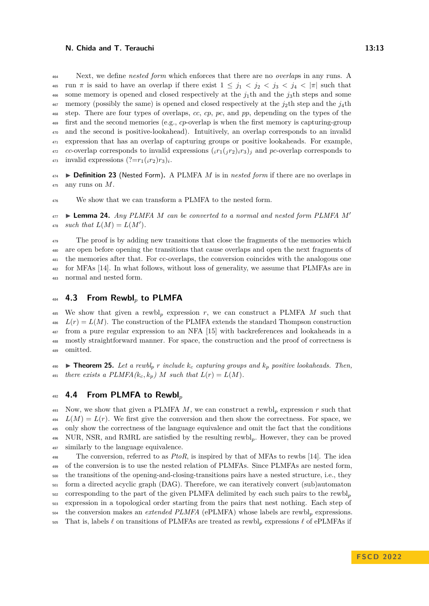Next, we define *nested form* which enforces that there are no *overlap*s in any runs. A <sup>465</sup> run  $\pi$  is said to have an overlap if there exist  $1 \leq j_1 < j_2 < j_3 < j_4 < |\pi|$  such that some memory is opened and closed respectively at the *j*1th and the *j*3th steps and some  $\frac{467}{467}$  memory (possibly the same) is opened and closed respectively at the  $j_2$ th step and the  $j_4$ th step. There are four types of overlaps, *cc*, *cp*, *pc*, and *pp*, depending on the types of the first and the second memories (e.g., *cp*-overlap is when the first memory is capturing-group and the second is positive-lookahead). Intuitively, an overlap corresponds to an invalid expression that has an overlap of capturing groups or positive lookaheads. For example,  $\alpha$ <sup>*r*</sup>2 *cc*-overlap corresponds to invalid expressions  $(i r_1(j r_2) i r_3)$ <sub>*j*</sub> and *pc*-overlap corresponds to <sup>473</sup> invalid expressions  $(?=r_1(i_2)r_3)_i$ .

 ▶ **Definition 23** (Nested Form)**.** A PLMFA *M* is in *nested form* if there are no overlaps in any runs on *M*.

<sup>476</sup> We show that we can transform a PLMFA to the nested form.

▶ **Lemma 24.** *Any PLMFA M can be converted to a normal and nested form PLMFA M*′ *such that*  $L(M) = L(M')$ *.* 

<sup>479</sup> The proof is by adding new transitions that close the fragments of the memories which are open before opening the transitions that cause overlaps and open the next fragments of the memories after that. For cc-overlaps, the conversion coincides with the analogous one for MFAs [\[14\]](#page-17-0). In what follows, without loss of generality, we assume that PLMFAs are in normal and nested form.

# <span id="page-12-0"></span>**4.3 From Rewbl***<sup>p</sup>* **to PLMFA**

 We show that given a rewbl*<sup>p</sup>* expression *r*, we can construct a PLMFA *M* such that  $L(r) = L(M)$ . The construction of the PLMFA extends the standard Thompson construction from a pure regular expression to an NFA [\[15\]](#page-17-2) with backreferences and lookaheads in a mostly straightforward manner. For space, the construction and the proof of correctness is omitted.

<span id="page-12-1"></span>490 **Extermment 25.** Let a rewbl<sub>p</sub> r include  $k_c$  capturing groups and  $k_p$  positive lookaheads. Then,  $\mathcal{L}_{491}$  there exists a PLMFA( $k_c, k_p$ ) M such that  $L(r) = L(M)$ .

## **4.4 From PLMFA to Rewbl***<sup>p</sup>*

 Now, we show that given a PLMFA *M*, we can construct a rewbl*<sup>p</sup>* expression *r* such that  $L(M) = L(r)$ . We first give the conversion and then show the correctness. For space, we only show the correctness of the language equivalence and omit the fact that the conditions NUR, NSR, and RMRL are satisfied by the resulting rewbl*p*. However, they can be proved similarly to the language equivalence.

 The conversion, referred to as *PtoR*, is inspired by that of MFAs to rewbs [\[14\]](#page-17-0). The idea <sup>499</sup> of the conversion is to use the nested relation of PLMFAs. Since PLMFAs are nested form, the transitions of the opening-and-closing-transitions pairs have a nested structure, i.e., they form a directed acyclic graph (DAG). Therefore, we can iteratively convert (sub)automaton corresponding to the part of the given PLMFA delimited by each such pairs to the rewbl<sub>p</sub> expression in a topological order starting from the pairs that nest nothing. Each step of the conversion makes an *extended PLMFA* (ePLMFA) whose labels are rewbl*<sup>p</sup>* expressions. That is, labels *ℓ* on transitions of PLMFAs are treated as rewbl*<sup>p</sup>* expressions *ℓ* of ePLMFAs if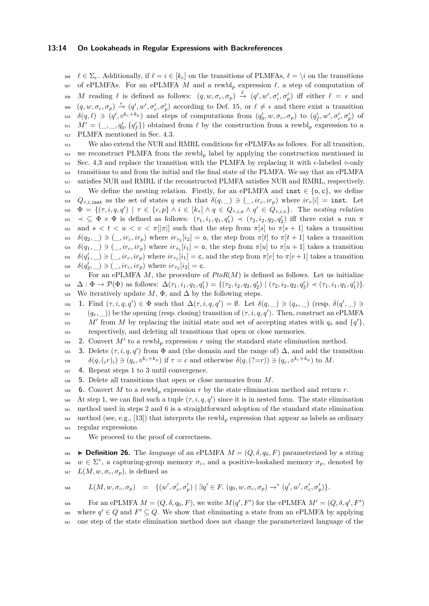#### **13:14 On Lookaheads in Regular Expressions with Backreferences**

506  $\ell \in \Sigma_{\epsilon}$ . Additionally, if  $\ell = i \in [k_c]$  on the transitions of PLMFAs,  $\ell = \setminus i$  on the transitions <sup>507</sup> of ePLMFAs. For an ePLMFA *M* and a rewbl*<sup>p</sup>* expression *ℓ*, a step of computation of  $M$  reading  $\ell$  is defined as follows:  $(q, w, \sigma_c, \sigma_p) \stackrel{\ell}{\rightarrow} (q', w', \sigma'_c, \sigma'_p)$  iff either  $\ell = \epsilon$  and  $(\phi, w, \sigma_c, \sigma_p) \stackrel{\epsilon}{\rightarrow} (q', w', \sigma_c', \sigma_p')$  according to Def. [15,](#page-8-1) or  $\ell \neq \epsilon$  and there exist a transition  $\delta(q,\ell) \ni (q',\diamond^{k_c+k_p})$  and steps of computations from  $(q'_0,w,\sigma_c,\sigma_p)$  to  $(q'_f,w',\sigma'_c,\sigma'_p)$  of  $M' = (\_, \_, q'_0, \{q'_f\})$  obtained from  $\ell$  by the construction from a rewbl<sub>p</sub> expression to a <sup>512</sup> PLMFA mentioned in Sec. [4.3.](#page-12-0)

 We also extend the NUR and RMRL conditions for ePLMFAs as follows. For all transition, we reconstruct PLMFA from the rewbl*<sup>p</sup>* label by applying the construction mentioned in 515 Sec. [4.3](#page-12-0) and replace the transition with the PLMFA by replacing it with  $\epsilon$ -labeled  $\diamond$ -only transitions to and from the initial and the final state of the PLMFA. We say that an ePLMFA satisfies NUR and RMRL if the reconstructed PLMFA satisfies NUR and RMRL, respectively.

518 We define the nesting relation. Firstly, for an ePLMFA and  $\text{inst} \in \{\text{o}, \text{c}\}\,$ , we define 519  $Q_{\tau,i,\text{inst}}$  as the set of states q such that  $\delta(q,\_) \ni (\_, ir_c, ir_p)$  where  $ir_{\tau}[i] = \text{inst.}$  Let  $\Phi = \{(\tau, i, q, q') \mid \tau \in \{c, p\} \land i \in [k_\tau] \land q \in Q_{\tau, i, \mathsf{o}} \land q' \in Q_{\tau, i, \mathsf{c}}\}.$  The *nesting relation*  $\mathcal{F}_{\mathcal{F}}$   $\prec \subseteq \Phi \times \Phi$  is defined as follows:  $(\tau_1, i_1, q_1, q'_1) \prec (\tau_2, i_2, q_2, q'_2)$  iff there exist a run  $\pi$ 522 and  $s < t < u < v < \pi/|\pi|$  such that the step from  $\pi[s]$  to  $\pi[s+1]$  takes a transition *δ*(*q*<sub>2</sub>*,* \_)  $\ni$  (\_*, ir<sub>c</sub>, ir<sub>p</sub>*) where  $ir_{\tau_2}[i_2] = \circ$ , the step from *π*[*t*] to *π*[*t* + 1] takes a transition *δ*(*q*<sub>1</sub>, \_)  $\ni$  (\_*, ir<sub>c</sub>, ir<sub>p</sub>*) where *ir*<sub>*τ*1</sub></sub>[*i*<sub>1</sub>] = **o**, the step from *π*[*u*] to *π*[*u* + 1] takes a transition <sup>525</sup>  $\delta(q'_1, \_\) \ni (\_, ir_c, ir_p)$  where  $ir_{\tau_1}[i_1] = \mathsf{c}$ , and the step from  $\pi[v]$  to  $\pi[v+1]$  takes a transition  $\delta(q'_2, \_\_) \ni (\_, ir_c, ir_p)$  where  $ir_{\tau_2}[i_2] = \text{c}.$ 

<sup>527</sup> For an ePLMFA *M*, the procedure of *PtoR*(*M*) is defined as follows. Let us initialize  $\mathcal{L}_{528}$   $\Delta: \Phi \to \mathcal{P}(\Phi)$  as follows:  $\Delta(\tau_1, i_1, q_1, q'_1) = \{(\tau_2, i_2, q_2, q'_2) | (\tau_2, i_2, q_2, q'_2) \prec (\tau_1, i_1, q_1, q'_1)\}.$ 529 We iteratively update  $M$ ,  $\Phi$ , and  $\Delta$  by the following steps.

530 **1.** Find  $(\tau, i, q, q') \in \Phi$  such that  $\Delta(\tau, i, q, q') = \emptyset$ . Let  $\delta(q, \_) \ni (q_s, \_)$  (resp.  $\delta(q', \_) \ni$  $(q_e, \_\$ )) be the opening (resp. closing) transition of  $(\tau, i, q, q')$ . Then, construct an ePLMFA  $M'$  from *M* by replacing the initial state and set of accepting states with  $q_s$  and  $\{q'\}$ , <sup>533</sup> respectively, and deleting all transitions that open or close memories.

2. Convert  $M'$  to a rewbl<sub>p</sub> expression  $r$  using the standard state elimination method.

535 **3.** Delete ( $\tau$ , *i*, *q*, *q*<sup>'</sup>) from  $\Phi$  and (the domain and the range of)  $\Delta$ , and add the transition <sup>536</sup>  $\delta(q,(i r)_i) \ni (q_e, \diamond^{k_c+k_p})$  if  $\tau = c$  and otherwise  $\delta(q,(?=r)) \ni (q_e, \diamond^{k_c+k_p})$  to M.

<sup>537</sup> **4.** Repeat steps 1 to 3 until convergence.

<sup>538</sup> **5.** Delete all transitions that open or close memories from *M*.

539 **6.** Convert M to a rewbl<sub>p</sub> expression r by the state elimination method and return r.

 At step 1, we can find such a tuple  $(τ, i, q, q')$  since it is in nested form. The state elimination method used in steps 2 and 6 is a straightforward adoption of the standard state elimination method (see, e.g., [\[13\]](#page-17-3)) that interprets the rewbl*<sup>p</sup>* expression that appear as labels as ordinary regular expressions.

<sup>544</sup> We proceed to the proof of correctness.

545 **• Definition 26.** The *language* of an ePLMFA  $M = (Q, \delta, q_0, F)$  parameterized by a string  $<sup>546</sup>$  *w* ∈ Σ<sup>\*</sup>, a capturing-group memory *σ*<sub>*c*</sub>, and a positive-lookahed memory *σ*<sub>*p*</sub>, denoted by</sup>  $L(M, w, \sigma_c, \sigma_p)$ , is defined as

$$
\mathbf{L}(M,w,\sigma_c,\sigma_p) = \{ (w',\sigma_c',\sigma_p') \mid \exists q' \in F. (q_0,w,\sigma_c,\sigma_p) \rightarrow^* (q',w',\sigma_c',\sigma_p') \}.
$$

For an ePLMFA  $M = (Q, \delta, q_0, F)$ , we write  $M(q', F')$  for the ePLMFA  $M' = (Q, \delta, q', F')$  $\mathcal{L}_{\text{F}}$  where  $q' \in Q$  and  $F' \subseteq Q$ . We show that eliminating a state from an ePLMFA by applying <sup>551</sup> one step of the state elimination method does not change the parameterized language of the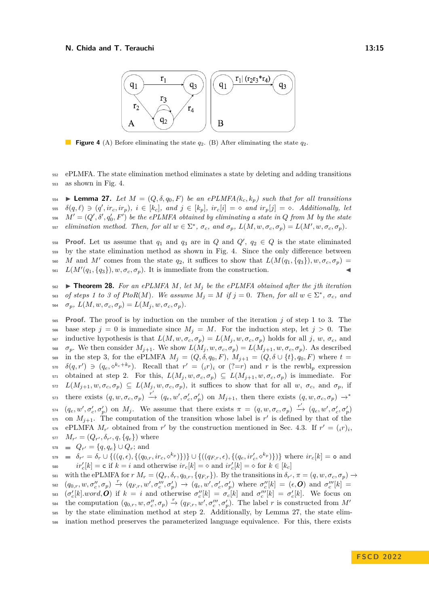<span id="page-14-0"></span>

**Figure 4** (A) Before eliminating the state *q*2. (B) After eliminating the state *q*2.

<sup>552</sup> ePLMFA. The state elimination method eliminates a state by deleting and adding transitions <sup>553</sup> as shown in Fig. [4.](#page-14-0)

<span id="page-14-1"></span>554 **• Lemma 27.** Let  $M = (Q, \delta, q_0, F)$  be an ePLMFA( $k_c, k_p$ ) such that for all transitions  $\delta(q,\ell) \ni (q',ir_c,ir_p), i \in [k_c], \text{ and } j \in [k_p], \text{ } ir_c[i] = \infty \text{ and } ir_p[j] = \infty.$  Additionally, let  $M' = (Q', \delta', q'_0, F')$  be the ePLMFA obtained by eliminating a state in  $Q$  from  $M$  by the state <sup>557</sup> elimination method. Then, for all  $w \in \Sigma^*$ ,  $\sigma_c$ , and  $\sigma_p$ ,  $L(M, w, \sigma_c, \sigma_p) = L(M', w, \sigma_c, \sigma_p)$ .

**Proof.** Let us assume that  $q_1$  and  $q_3$  are in *Q* and  $Q'$ ,  $q_2 \in Q$  is the state eliminated <sup>559</sup> by the state elimination method as shown in Fig. [4.](#page-14-0) Since the only difference between 560 *M* and *M'* comes from the state  $q_2$ , it suffices to show that  $L(M(q_1, \{q_3\}), w, \sigma_c, \sigma_p)$  $L(M'(q_1, \{q_3\}), w, \sigma_c, \sigma_p)$ . It is immediate from the construction.

<span id="page-14-2"></span> $562$   $\blacktriangleright$  **Theorem 28.** For an ePLMFA  $M$ , let  $M$ <sup>*j*</sup> be the ePLMFA obtained after the *j*th iteration  $\sigma$ *s of steps 1 to 3 of PtoR(M). We assume*  $M_j = M$  *if*  $j = 0$ . Then, for all  $w \in \Sigma^*$ ,  $\sigma_c$ , and  $\sigma_p$ *,*  $L(M, w, \sigma_c, \sigma_p) = L(M_j, w, \sigma_c, \sigma_p)$ .

<sup>565</sup> **Proof.** The proof is by induction on the number of the iteration *j* of step 1 to 3. The 566 base step  $j = 0$  is immediate since  $M_j = M$ . For the induction step, let  $j > 0$ . The 567 inductive hypothesis is that  $L(M, w, \sigma_c, \sigma_p) = L(M_i, w, \sigma_c, \sigma_p)$  holds for all j, w,  $\sigma_c$ , and 568  $\sigma_p$ . We then consider  $M_{j+1}$ . We show  $L(M_j, w, \sigma_c, \sigma_p) = L(M_{j+1}, w, \sigma_c, \sigma_p)$ . As described 569 in the step 3, for the ePLMFA  $M_j = (Q, \delta, q_0, F), M_{j+1} = (Q, \delta \cup \{t\}, q_0, F)$  where  $t =$  $\delta(q, r') \ni (q_e, \diamond^{k_c+k_p})$ . Recall that  $r' = (i r)_i$  or  $(? = r)$  and *r* is the rewbl<sub>p</sub> expression 571 obtained at step 2. For this,  $L(M_j, w, \sigma_c, \sigma_p) \subseteq L(M_{j+1}, w, \sigma_c, \sigma_p)$  is immediate. For  $L(M_{j+1}, w, \sigma_c, \sigma_p) \subseteq L(M_j, w, \sigma_c, \sigma_p)$ , it suffices to show that for all w,  $\sigma_c$ , and  $\sigma_p$ , if there exists  $(q, w, \sigma_c, \sigma_p) \xrightarrow{r'} (q_e, w', \sigma'_c, \sigma'_p)$  on  $M_{j+1}$ , then there exists  $(q, w, \sigma_c, \sigma_p) \rightarrow^*$ 573  $\sigma_{q_1}(q_e, w', \sigma'_e, \sigma'_p)$  on  $M_j$ . We assume that there exists  $\pi = (q, w, \sigma_c, \sigma_p) \stackrel{r'}{\rightarrow} (q_e, w', \sigma'_e, \sigma'_p)$  $\sigma$ <sub>575</sub> on  $M_{j+1}$ . The computation of the transition whose label is r' is defined by that of the  $\epsilon_{576}$  ePLMFA  $M_{r'}$  obtained from *r'* by the construction mentioned in Sec. [4.3.](#page-12-0) If  $r' = (i r)_i$ ,  $M_{r'} = (Q_{r'}, \delta_{r'}, q, \{q_e\})$  where  $q_{r'} = \{q, q_e\} \cup Q_r$ ; and

 $\delta_{\sigma} = \delta_{r'} = \delta_r \cup \{((q, \epsilon), \{(q_{0,r}, i r_c, \diamond^{k_p})\})\} \cup \{((q_{F,r}, \epsilon), \{(q_e, i r'_c, \diamond^{k_p})\})\}$  where  $i r_c[k] = \text{o}$  and  $i r'_c[k] = c$  if  $k = i$  and otherwise  $i r_c[k] = \diamond$  and  $i r'_c[k] = \diamond$  for  $k \in [k_c]$ 

581 with the ePLMFA for  $r M_r = (Q_r, \delta_r, q_{0,r}, \{q_{F,r}\})$ . By the transitions in  $\delta_{r'}, \pi = (q, w, \sigma_c, \sigma_p) \rightarrow$  $\sigma_{\epsilon}^{(q)}(q_{0,r},w,\sigma''_c,\sigma_p) \stackrel{r}{\rightarrow} (q_{F,r},w',\sigma'''_c,\sigma'_p) \rightarrow (q_e,w',\sigma'_c,\sigma'_p) \text{ where } \sigma''_c[k] = (\epsilon,\boldsymbol{O}) \text{ and } \sigma'''_c[k] =$ <sup>583</sup>  $(\sigma'_c[k].word, O)$  if  $k = i$  and otherwise  $\sigma''_c[k] = \sigma_c[k]$  and  $\sigma'''_c[k] = \sigma'_c[k]$ . We focus on the computation  $(q_{0,r}, w, \sigma''_c, \sigma_p) \stackrel{r}{\rightarrow} (q_{F,r}, w', \sigma''_c, \sigma'_p)$ . The label *r* is constructed from *M'* 584 <sup>585</sup> by the state elimination method at step 2. Additionally, by Lemma [27,](#page-14-1) the state elim-<sup>586</sup> ination method preserves the parameterized language equivalence. For this, there exists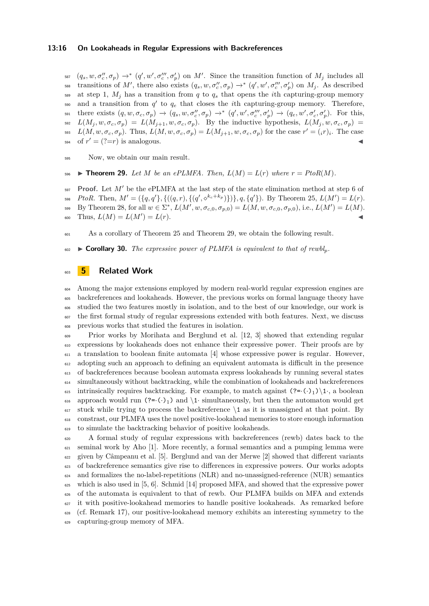#### **13:16 On Lookaheads in Regular Expressions with Backreferences**

 $(s_{\text{F2}}(q_s, w, \sigma''_c, \sigma_p) \rightarrow^* (q', w', \sigma'''_c, \sigma'_p)$  on *M'*. Since the transition function of  $M_j$  includes all  $\mathcal{L}_{\text{ss}}$  transitions of M', there also exists  $(q_s, w, \sigma''_c, \sigma_p) \rightarrow^* (q', w', \sigma'''_c, \sigma'_p)$  on  $M_j$ . As described  $\frac{1}{589}$  at step 1,  $M_i$  has a transition from *q* to  $q_s$  that opens the *i*th capturing-group memory  $\sigma$ <sub>590</sub> and a transition from  $q'$  to  $q_e$  that closes the *i*th capturing-group memory. Therefore,  $\mathcal{L}_{\text{sp1}}$  there exists  $(q, w, \sigma_c, \sigma_p) \rightarrow (q_s, w, \sigma_c'', \sigma_p) \rightarrow^* (q', w', \sigma_c'', \sigma_p') \rightarrow (q_e, w', \sigma_c', \sigma_p').$  For this,  $L(M_i, w, \sigma_c, \sigma_p) = L(M_{i+1}, w, \sigma_c, \sigma_p)$ . By the inductive hypothesis,  $L(M_i, w, \sigma_c, \sigma_p)$ <sup>593</sup>  $L(M, w, \sigma_c, \sigma_p)$ . Thus,  $L(M, w, \sigma_c, \sigma_p) = L(M_{j+1}, w, \sigma_c, \sigma_p)$  for the case  $r' = (i r)_i$ . The case  $\sigma$  of  $r' = (? = r)$  is analogous.

<span id="page-15-0"></span><sup>595</sup> Now, we obtain our main result.

596 **Example 29.** *Let M be an ePLMFA. Then,*  $L(M) = L(r)$  *where*  $r = PtoR(M)$ *.* 

 $597$  **Proof.** Let  $M'$  be the ePLMFA at the last step of the state elimination method at step 6 of 598 *PtoR*. Then,  $M' = (\{q, q'\}, \{((q, r), \{(q', \diamond^{k_c+k_p})\})\}, q, \{q'\})$ . By Theorem [25,](#page-12-1)  $L(M') = L(r)$ .  $\mathcal{L}_{\mathcal{B}}(\mathcal{B}) = \mathcal{B}(\mathcal{B}) = \mathcal{B}(\mathcal{B}) = \mathcal{B}(\mathcal{B}) = \mathcal{B}(\mathcal{B}) = \mathcal{B}(\mathcal{B}), \quad \mathcal{B}(\mathcal{B}) = \mathcal{B}(\mathcal{B}), \quad \mathcal{B}(\mathcal{B}), \quad \mathcal{B}(\mathcal{B}) = \mathcal{B}(\mathcal{B}) = \mathcal{B}(\mathcal{B}) = \mathcal{B}(\mathcal{B})$  $\mathcal{L}(M) = L(M') = L(r).$ 

<sup>601</sup> As a corollary of Theorem [25](#page-12-1) and Theorem [29,](#page-15-0) we obtain the following result.

602 **Expandiary 30.** The expressive power of PLMFA is equivalent to that of rewbl<sub>p</sub>.

## <sup>603</sup> **5 Related Work**

<sub>604</sub> Among the major extensions employed by modern real-world regular expression engines are backreferences and lookaheads. However, the previous works on formal language theory have studied the two features mostly in isolation, and to the best of our knowledge, our work is the first formal study of regular expressions extended with both features. Next, we discuss previous works that studied the features in isolation.

 Prior works by Morihata and Berglund et al. [\[12,](#page-17-1) [3\]](#page-16-1) showed that extending regular expressions by lookaheads does not enhance their expressive power. Their proofs are by a translation to boolean finite automata  $[4]$  whose expressive power is regular. However, adopting such an approach to defining an equivalent automata is difficult in the presence of backreferences because boolean automata express lookaheads by running several states simultaneously without backtracking, while the combination of lookaheads and backreferences 615 intrinsically requires backtracking. For example, to match against  $(?=(.)_1)\setminus 1$ , a boolean 616 approach would run  $(?=(.)_1)$  and  $\iota$  simultaneously, but then the automaton would get stuck while trying to process the backreference  $\setminus$  1 as it is unassigned at that point. By constrast, our PLMFA uses the novel positive-lookahead memories to store enough information to simulate the backtracking behavior of positive lookaheads.

 A formal study of regular expressions with backreferences (rewb) dates back to the  $\epsilon_{21}$  seminal work by Aho [\[1\]](#page-16-3). More recently, a formal semantics and a pumping lemma were given by Câmpeanu et al. [\[5\]](#page-16-4). Berglund and van der Merwe [\[2\]](#page-16-5) showed that different variants of backreference semantics give rise to differences in expressive powers. Our works adopts and formalizes the no-label-repetitions (NLR) and no-unassigned-reference (NUR) semantics 625 which is also used in  $[5, 6]$  $[5, 6]$  $[5, 6]$ . Schmid [\[14\]](#page-17-0) proposed MFA, and showed that the expressive power of the automata is equivalent to that of rewb. Our PLMFA builds on MFA and extends it with positive-lookahead memories to handle positive lookaheads. As remarked before (cf. Remark [17\)](#page-10-1), our positive-lookahead memory exhibits an interesting symmetry to the capturing-group memory of MFA.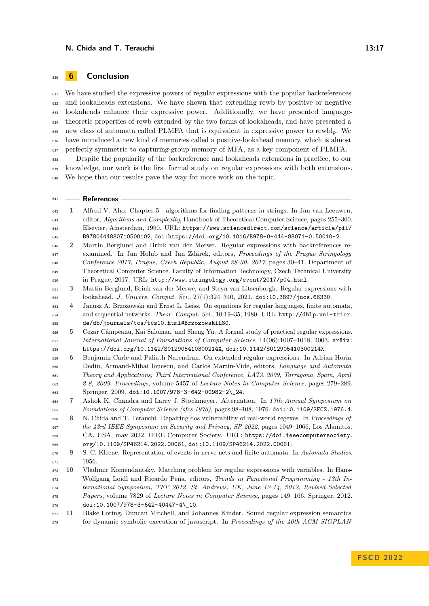# **6 Conclusion**

 We have studied the expressive powers of regular expressions with the popular backreferences and lookaheads extensions. We have shown that extending rewb by positive or negative lookaheads enhance their expressive power. Additionally, we have presented language- theoretic properties of rewb extended by the two forms of lookaheads, and have presented a new class of automata called PLMFA that is equivalent in expressive power to rewbl*p*. We have introduced a new kind of memories called a positive-lookahead memory, which is almost perfectly symmetric to capturing-group memory of MFA, as a key component of PLMFA.

 Despite the popularity of the backreference and lookaheads extensions in practice, to our knowledge, our work is the first formal study on regular expressions with both extensions. We hope that our results pave the way for more work on the topic.

## **References**

<span id="page-16-10"></span><span id="page-16-9"></span><span id="page-16-8"></span><span id="page-16-7"></span><span id="page-16-6"></span><span id="page-16-5"></span><span id="page-16-4"></span><span id="page-16-3"></span><span id="page-16-2"></span><span id="page-16-1"></span><span id="page-16-0"></span>

| 642 | 1              | Alfred V. Aho. Chapter 5 - algorithms for finding patterns in strings. In Jan van Leeuwen,     |
|-----|----------------|------------------------------------------------------------------------------------------------|
| 643 |                | editor, Algorithms and Complexity, Handbook of Theoretical Computer Science, pages 255-300.    |
| 644 |                | Elsevier, Amsterdam, 1990. URL: https://www.sciencedirect.com/science/article/pii/             |
| 645 |                | B9780444880710500102, doi:https://doi.org/10.1016/B978-0-444-88071-0.50010-2.                  |
| 646 | $\overline{2}$ | Martin Berglund and Brink van der Merwe. Regular expressions with backreferences re-           |
| 647 |                | examined. In Jan Holub and Jan Zdárek, editors, Proceedings of the Prague Stringology          |
| 648 |                | Conference 2017, Prague, Czech Republic, August 28-30, 2017, pages 30-41. Department of        |
| 649 |                | Theoretical Computer Science, Faculty of Information Technology, Czech Technical University    |
| 650 |                | in Prague, 2017. URL: http://www.stringology.org/event/2017/p04.html.                          |
| 651 | 3              | Martin Berglund, Brink van der Merwe, and Steyn van Litsenborgh. Regular expressions with      |
| 652 |                | lookahead. J. Univers. Comput. Sci., 27(1):324-340, 2021. doi:10.3897/jucs.66330.              |
| 653 | 4              | Janusz A. Brzozowski and Ernst L. Leiss. On equations for regular languages, finite automata,  |
| 654 |                | and sequential networks. Theor. Comput. Sci., 10:19-35, 1980. URL: http://dblp.uni-trier.      |
| 655 |                | de/db/journals/tcs/tcs10.html#BrzozowskiL80.                                                   |
| 656 | 5              | Cezar Câmpeanu, Kai Salomaa, and Sheng Yu. A formal study of practical regular expressions.    |
| 657 |                | International Journal of Foundations of Computer Science, 14(06):1007-1018, 2003. arXiv:       |
| 658 |                | https://doi.org/10.1142/S012905410300214X, doi:10.1142/S012905410300214X.                      |
| 659 | 6              | Benjamin Carle and Paliath Narendran. On extended regular expressions. In Adrian-Horia         |
| 660 |                | Dediu, Armand-Mihai Ionescu, and Carlos Martín-Vide, editors, Language and Automata            |
| 661 |                | Theory and Applications, Third International Conference, LATA 2009, Tarragona, Spain, April    |
| 662 |                | 2-8, 2009. Proceedings, volume 5457 of Lecture Notes in Computer Science, pages 279–289.       |
| 663 |                | Springer, 2009. doi:10.1007/978-3-642-00982-2\_24.                                             |
| 664 | 7              | Ashok K. Chandra and Larry J. Stockmeyer. Alternation. In 17th Annual Symposium on             |
| 665 |                | Foundations of Computer Science (sfcs 1976), pages 98-108, 1976. doi:10.1109/SFCS.1976.4.      |
| 666 | 8              | N. Chida and T. Terauchi. Repairing dos vulnerability of real-world regexes. In Proceedings of |
| 667 |                | the 43rd IEEE Symposium on Security and Privacy, SP 2022, pages 1049-1066, Los Alamitos,       |
| 668 |                | CA, USA, may 2022. IEEE Computer Society. URL: https://doi.ieeecomputersociety.                |
| 669 |                | org/10.1109/SP46214.2022.00061, doi:10.1109/SP46214.2022.00061.                                |
| 670 | 9              | S. C. Kleene. Representation of events in nerve nets and finite automata. In Automata Studies. |
| 671 |                | 1956.                                                                                          |
| 672 | 10             | Vladimir Komendantsky. Matching problem for regular expressions with variables. In Hans-       |
| 673 |                | Wolfgang Loidl and Ricardo Peña, editors, Trends in Functional Programming - 13th In-          |
| 674 |                | ternational Symposium, TFP 2012, St. Andrews, UK, June 12-14, 2012, Revised Selected           |
| 675 |                | Papers, volume 7829 of Lecture Notes in Computer Science, pages 149–166. Springer, 2012.       |
| 676 |                | doi:10.1007/978-3-642-40447-4\_10.                                                             |
| 677 | 11             | Blake Loring, Duncan Mitchell, and Johannes Kinder. Sound regular expression semantics         |
| 678 |                | for dynamic symbolic execution of javascript. In Proceedings of the $40th$ ACM SIGPLAN         |